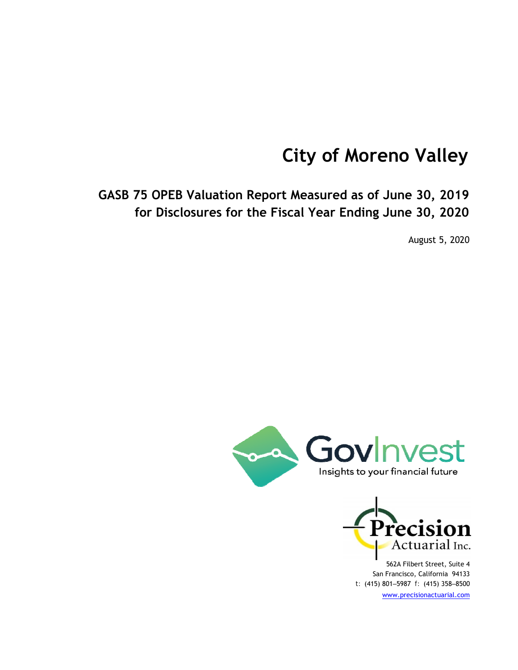# **City of Moreno Valley**

**GASB 75 OPEB Valuation Report Measured as of June 30, 2019 for Disclosures for the Fiscal Year Ending June 30, 2020**

August 5, 2020





562A Filbert Street, Suite 4 San Francisco, California 94133 *t:* (415) 801‒5987 *f:* (415) 358‒8500 www.precisionactuarial.com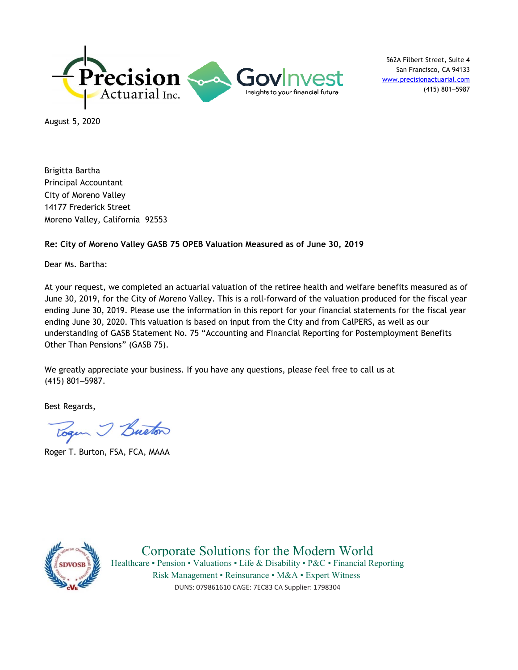

562A Filbert Street, Suite 4 San Francisco, CA 94133 www.precisionactuarial.com (415) 801‒5987

August 5, 2020

Brigitta Bartha Principal Accountant City of Moreno Valley 14177 Frederick Street Moreno Valley, California 92553

#### **Re: City of Moreno Valley GASB 75 OPEB Valuation Measured as of June 30, 2019**

Dear Ms. Bartha:

At your request, we completed an actuarial valuation of the retiree health and welfare benefits measured as of June 30, 2019, for the City of Moreno Valley. This is a roll-forward of the valuation produced for the fiscal year ending June 30, 2019. Please use the information in this report for your financial statements for the fiscal year ending June 30, 2020. This valuation is based on input from the City and from CalPERS, as well as our understanding of GASB Statement No. 75 "Accounting and Financial Reporting for Postemployment Benefits Other Than Pensions" (GASB 75).

We greatly appreciate your business. If you have any questions, please feel free to call us at (415) 801‒5987.

Best Regards,

Togen I Buston

Roger T. Burton, FSA, FCA, MAAA



Corporate Solutions for the Modern World Healthcare • Pension • Valuations • Life & Disability • P&C • Financial Reporting Risk Management • Reinsurance • M&A • Expert Witness DUNS: 079861610 CAGE: 7EC83 CA Supplier: 1798304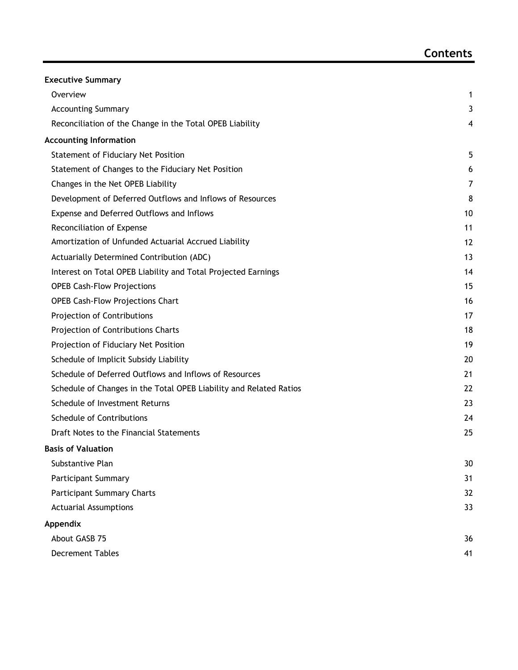| <b>Executive Summary</b>                                           |    |
|--------------------------------------------------------------------|----|
| Overview                                                           | 1  |
| <b>Accounting Summary</b>                                          | 3  |
| Reconciliation of the Change in the Total OPEB Liability           | 4  |
| <b>Accounting Information</b>                                      |    |
| Statement of Fiduciary Net Position                                | 5  |
| Statement of Changes to the Fiduciary Net Position                 | 6  |
| Changes in the Net OPEB Liability                                  | 7  |
| Development of Deferred Outflows and Inflows of Resources          | 8  |
| Expense and Deferred Outflows and Inflows                          | 10 |
| Reconciliation of Expense                                          | 11 |
| Amortization of Unfunded Actuarial Accrued Liability               | 12 |
| Actuarially Determined Contribution (ADC)                          | 13 |
| Interest on Total OPEB Liability and Total Projected Earnings      | 14 |
| <b>OPEB Cash-Flow Projections</b>                                  | 15 |
| <b>OPEB Cash-Flow Projections Chart</b>                            | 16 |
| Projection of Contributions                                        | 17 |
| Projection of Contributions Charts                                 | 18 |
| Projection of Fiduciary Net Position                               | 19 |
| Schedule of Implicit Subsidy Liability                             | 20 |
| Schedule of Deferred Outflows and Inflows of Resources             | 21 |
| Schedule of Changes in the Total OPEB Liability and Related Ratios | 22 |
| Schedule of Investment Returns                                     | 23 |
| Schedule of Contributions                                          | 24 |
| Draft Notes to the Financial Statements                            | 25 |
| <b>Basis of Valuation</b>                                          |    |
| Substantive Plan                                                   | 30 |
| <b>Participant Summary</b>                                         | 31 |
| <b>Participant Summary Charts</b>                                  | 32 |
| <b>Actuarial Assumptions</b>                                       | 33 |
| Appendix                                                           |    |
| About GASB 75                                                      | 36 |
| <b>Decrement Tables</b>                                            | 41 |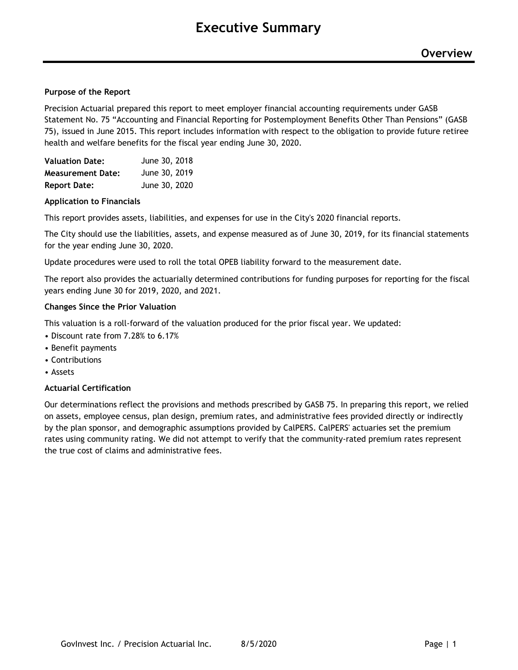#### **Purpose of the Report**

Precision Actuarial prepared this report to meet employer financial accounting requirements under GASB Statement No. 75 "Accounting and Financial Reporting for Postemployment Benefits Other Than Pensions" (GASB 75), issued in June 2015. This report includes information with respect to the obligation to provide future retiree health and welfare benefits for the fiscal year ending June 30, 2020.

| <b>Valuation Date:</b>   | June 30, 2018 |
|--------------------------|---------------|
| <b>Measurement Date:</b> | June 30, 2019 |
| <b>Report Date:</b>      | June 30, 2020 |

#### **Application to Financials**

This report provides assets, liabilities, and expenses for use in the City's 2020 financial reports.

The City should use the liabilities, assets, and expense measured as of June 30, 2019, for its financial statements for the year ending June 30, 2020.

Update procedures were used to roll the total OPEB liability forward to the measurement date.

The report also provides the actuarially determined contributions for funding purposes for reporting for the fiscal years ending June 30 for 2019, 2020, and 2021.

#### **Changes Since the Prior Valuation**

This valuation is a roll-forward of the valuation produced for the prior fiscal year. We updated:

- Discount rate from 7.28% to 6.17%
- Benefit payments
- Contributions
- Assets

#### **Actuarial Certification**

Our determinations reflect the provisions and methods prescribed by GASB 75. In preparing this report, we relied on assets, employee census, plan design, premium rates, and administrative fees provided directly or indirectly by the plan sponsor, and demographic assumptions provided by CalPERS. CalPERS' actuaries set the premium rates using community rating. We did not attempt to verify that the community-rated premium rates represent the true cost of claims and administrative fees.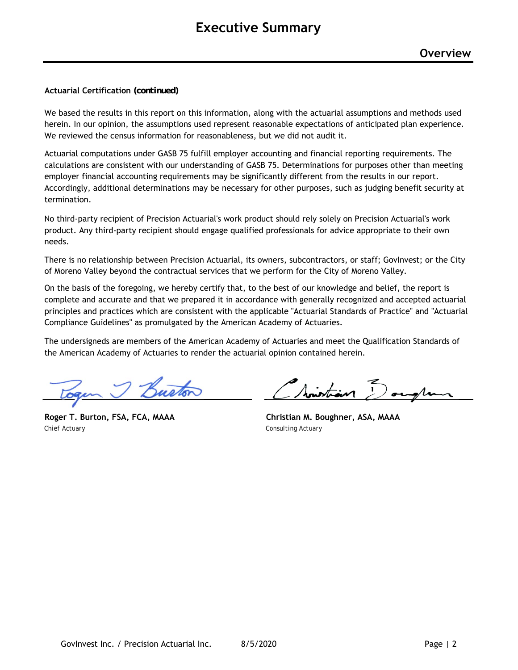#### **Actuarial Certification** *(continued)*

We based the results in this report on this information, along with the actuarial assumptions and methods used herein. In our opinion, the assumptions used represent reasonable expectations of anticipated plan experience. We reviewed the census information for reasonableness, but we did not audit it.

Actuarial computations under GASB 75 fulfill employer accounting and financial reporting requirements. The calculations are consistent with our understanding of GASB 75. Determinations for purposes other than meeting employer financial accounting requirements may be significantly different from the results in our report. Accordingly, additional determinations may be necessary for other purposes, such as judging benefit security at termination.

No third-party recipient of Precision Actuarial's work product should rely solely on Precision Actuarial's work product. Any third-party recipient should engage qualified professionals for advice appropriate to their own needs.

There is no relationship between Precision Actuarial, its owners, subcontractors, or staff; GovInvest; or the City of Moreno Valley beyond the contractual services that we perform for the City of Moreno Valley.

On the basis of the foregoing, we hereby certify that, to the best of our knowledge and belief, the report is complete and accurate and that we prepared it in accordance with generally recognized and accepted actuarial principles and practices which are consistent with the applicable "Actuarial Standards of Practice" and "Actuarial Compliance Guidelines" as promulgated by the American Academy of Actuaries.

The undersigneds are members of the American Academy of Actuaries and meet the Qualification Standards of the American Academy of Actuaries to render the actuarial opinion contained herein.

*Chief Actuary Consulting Actuary*

Noistian Douglan

**Roger T. Burton, FSA, FCA, MAAA Christian M. Boughner, ASA, MAAA**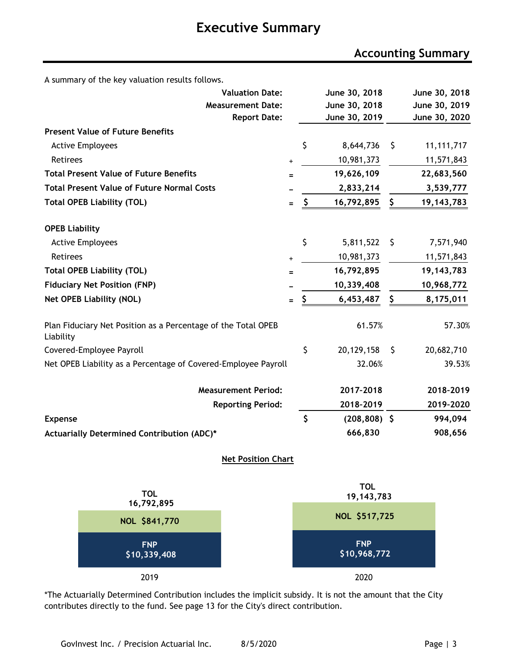# **Executive Summary**

### **Accounting Summary**

A summary of the key valuation results follows.

| <b>Valuation Date:</b>                                                     |           | June 30, 2018         |    | June 30, 2018 |
|----------------------------------------------------------------------------|-----------|-----------------------|----|---------------|
| <b>Measurement Date:</b>                                                   |           | June 30, 2018         |    | June 30, 2019 |
| <b>Report Date:</b>                                                        |           | June 30, 2019         |    | June 30, 2020 |
| <b>Present Value of Future Benefits</b>                                    |           |                       |    |               |
| <b>Active Employees</b>                                                    |           | \$<br>8,644,736       | \$ | 11, 111, 717  |
| Retirees                                                                   | $\ddot{}$ | 10,981,373            |    | 11,571,843    |
| <b>Total Present Value of Future Benefits</b>                              | Ξ         | 19,626,109            |    | 22,683,560    |
| <b>Total Present Value of Future Normal Costs</b>                          |           | 2,833,214             |    | 3,539,777     |
| <b>Total OPEB Liability (TOL)</b>                                          | $=$       | \$<br>16,792,895      | \$ | 19, 143, 783  |
| <b>OPEB Liability</b>                                                      |           |                       |    |               |
| <b>Active Employees</b>                                                    |           | \$<br>5,811,522       | \$ | 7,571,940     |
| <b>Retirees</b>                                                            | $\ddot{}$ | 10,981,373            |    | 11,571,843    |
| <b>Total OPEB Liability (TOL)</b>                                          | $=$       | 16,792,895            |    | 19, 143, 783  |
| <b>Fiduciary Net Position (FNP)</b>                                        |           | 10,339,408            |    | 10,968,772    |
| <b>Net OPEB Liability (NOL)</b>                                            | $=$       | \$<br>6,453,487       | \$ | 8,175,011     |
| Plan Fiduciary Net Position as a Percentage of the Total OPEB<br>Liability |           | 61.57%                |    | 57.30%        |
| Covered-Employee Payroll                                                   |           | \$<br>20,129,158      | S  | 20,682,710    |
| Net OPEB Liability as a Percentage of Covered-Employee Payroll             |           | 32.06%                |    | 39.53%        |
| <b>Measurement Period:</b>                                                 |           | 2017-2018             |    | 2018-2019     |
| <b>Reporting Period:</b>                                                   |           | 2018-2019             |    | 2019-2020     |
| <b>Expense</b>                                                             |           | \$<br>$(208, 808)$ \$ |    | 994,094       |
| Actuarially Determined Contribution (ADC)*                                 |           | 666,830               |    | 908,656       |
| <b>Net Position Chart</b>                                                  |           |                       |    |               |



\*The Actuarially Determined Contribution includes the implicit subsidy. It is not the amount that the City contributes directly to the fund. See page 13 for the City's direct contribution.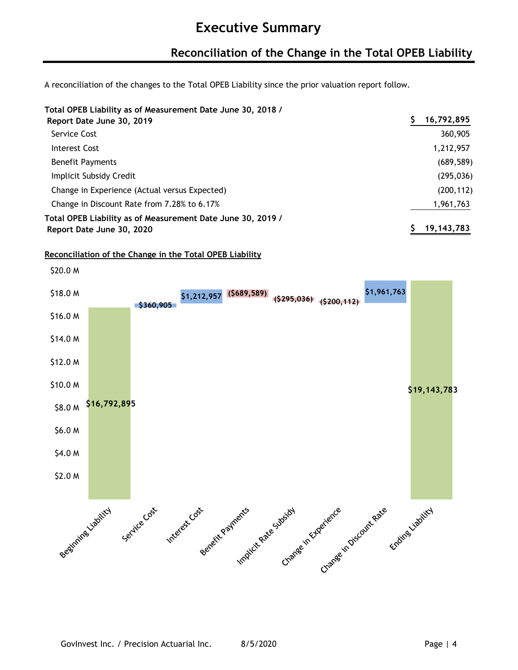### **Reconciliation of the Change in the Total OPEB Liability**

A reconciliation of the changes to the Total OPEB Liability since the prior valuation report follow.

#### **Total OPEB Liability as of Measurement Date June 30, 2018 /**

| Report Date June 30, 2019                                   | 16,792,895   |
|-------------------------------------------------------------|--------------|
| Service Cost                                                | 360,905      |
| Interest Cost                                               | 1,212,957    |
| <b>Benefit Payments</b>                                     | (689, 589)   |
| Implicit Subsidy Credit                                     | (295, 036)   |
| Change in Experience (Actual versus Expected)               | (200, 112)   |
| Change in Discount Rate from 7.28% to 6.17%                 | 1,961,763    |
| Total OPEB Liability as of Measurement Date June 30, 2019 / | 19, 143, 783 |
| Report Date June 30, 2020                                   |              |

#### **Reconciliation of the Change in the Total OPEB Liability**

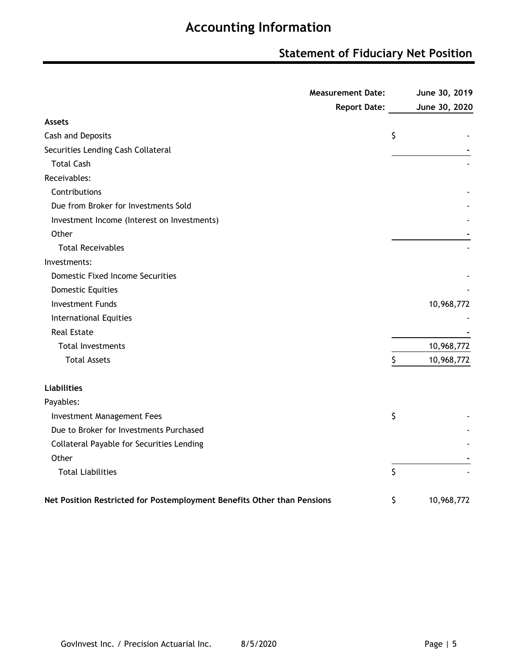### **Statement of Fiduciary Net Position**

| <b>Measurement Date:</b>                                                | June 30, 2019    |
|-------------------------------------------------------------------------|------------------|
| <b>Report Date:</b>                                                     | June 30, 2020    |
| <b>Assets</b>                                                           |                  |
| Cash and Deposits                                                       | \$               |
| Securities Lending Cash Collateral                                      |                  |
| <b>Total Cash</b>                                                       |                  |
| Receivables:                                                            |                  |
| Contributions                                                           |                  |
| Due from Broker for Investments Sold                                    |                  |
| Investment Income (Interest on Investments)                             |                  |
| Other                                                                   |                  |
| <b>Total Receivables</b>                                                |                  |
| Investments:                                                            |                  |
| <b>Domestic Fixed Income Securities</b>                                 |                  |
| <b>Domestic Equities</b>                                                |                  |
| <b>Investment Funds</b>                                                 | 10,968,772       |
| <b>International Equities</b>                                           |                  |
| <b>Real Estate</b>                                                      |                  |
| <b>Total Investments</b>                                                | 10,968,772       |
| <b>Total Assets</b>                                                     | \$<br>10,968,772 |
| <b>Liabilities</b>                                                      |                  |
| Payables:                                                               |                  |
| Investment Management Fees                                              | \$               |
| Due to Broker for Investments Purchased                                 |                  |
| Collateral Payable for Securities Lending                               |                  |
| Other                                                                   |                  |
| <b>Total Liabilities</b>                                                | \$               |
| Net Position Restricted for Postemployment Benefits Other than Pensions | \$<br>10,968,772 |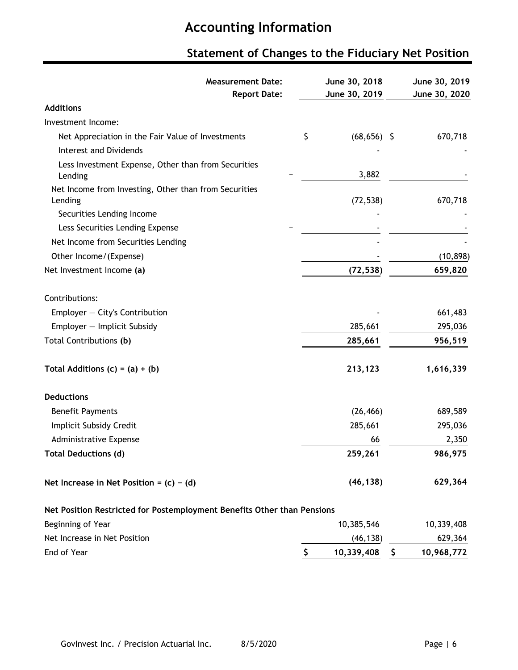# **Statement of Changes to the Fiduciary Net Position**

| <b>Measurement Date:</b><br><b>Report Date:</b>                         | June 30, 2018<br>June 30, 2019 | June 30, 2019<br>June 30, 2020 |
|-------------------------------------------------------------------------|--------------------------------|--------------------------------|
| <b>Additions</b>                                                        |                                |                                |
| Investment Income:                                                      |                                |                                |
| Net Appreciation in the Fair Value of Investments                       | \$<br>$(68, 656)$ \$           | 670,718                        |
| <b>Interest and Dividends</b>                                           |                                |                                |
| Less Investment Expense, Other than from Securities<br>Lending          | 3,882                          |                                |
| Net Income from Investing, Other than from Securities<br>Lending        | (72, 538)                      | 670,718                        |
| Securities Lending Income                                               |                                |                                |
| Less Securities Lending Expense                                         |                                |                                |
| Net Income from Securities Lending                                      |                                |                                |
| Other Income/(Expense)                                                  |                                | (10, 898)                      |
| Net Investment Income (a)                                               | (72, 538)                      | 659,820                        |
| Contributions:                                                          |                                |                                |
| Employer - City's Contribution                                          |                                | 661,483                        |
| Employer - Implicit Subsidy                                             | 285,661                        | 295,036                        |
| Total Contributions (b)                                                 | 285,661                        | 956,519                        |
| Total Additions $(c) = (a) + (b)$                                       | 213,123                        | 1,616,339                      |
| <b>Deductions</b>                                                       |                                |                                |
| <b>Benefit Payments</b>                                                 | (26, 466)                      | 689,589                        |
| Implicit Subsidy Credit                                                 | 285,661                        | 295,036                        |
| Administrative Expense                                                  | 66                             | 2,350                          |
| <b>Total Deductions (d)</b>                                             | 259,261                        | 986,975                        |
| Net Increase in Net Position = $(c) - (d)$                              | (46, 138)                      | 629,364                        |
| Net Position Restricted for Postemployment Benefits Other than Pensions |                                |                                |
| Beginning of Year                                                       | 10,385,546                     | 10,339,408                     |
| Net Increase in Net Position                                            | (46, 138)                      | 629,364                        |
| End of Year                                                             | \$<br>10,339,408               | \$<br>10,968,772               |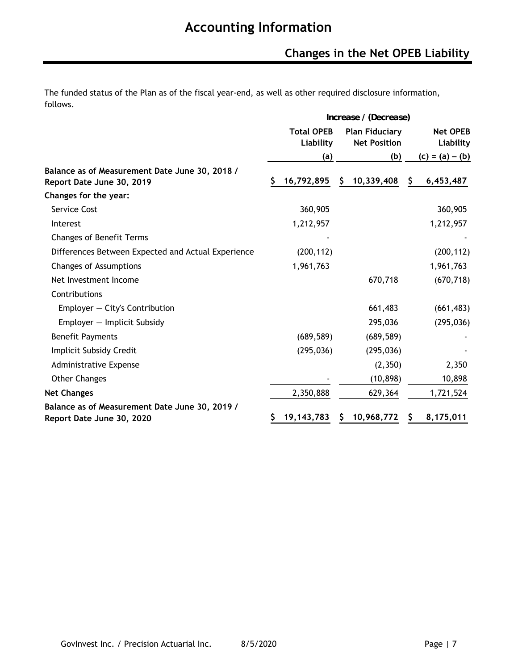The funded status of the Plan as of the fiscal year-end, as well as other required disclosure information, follows.

|                                                                             | Increase / (Decrease) |                                |    |                                              |    |                              |
|-----------------------------------------------------------------------------|-----------------------|--------------------------------|----|----------------------------------------------|----|------------------------------|
|                                                                             |                       | <b>Total OPEB</b><br>Liability |    | <b>Plan Fiduciary</b><br><b>Net Position</b> |    | <b>Net OPEB</b><br>Liability |
|                                                                             |                       | (a)                            |    | (b)                                          |    | $(c) = (a) - (b)$            |
| Balance as of Measurement Date June 30, 2018 /<br>Report Date June 30, 2019 |                       | 16,792,895                     | S  | 10,339,408                                   | \$ | 6,453,487                    |
| Changes for the year:                                                       |                       |                                |    |                                              |    |                              |
| Service Cost                                                                |                       | 360,905                        |    |                                              |    | 360,905                      |
| Interest                                                                    |                       | 1,212,957                      |    |                                              |    | 1,212,957                    |
| <b>Changes of Benefit Terms</b>                                             |                       |                                |    |                                              |    |                              |
| Differences Between Expected and Actual Experience                          |                       | (200, 112)                     |    |                                              |    | (200, 112)                   |
| <b>Changes of Assumptions</b>                                               |                       | 1,961,763                      |    |                                              |    | 1,961,763                    |
| Net Investment Income                                                       |                       |                                |    | 670,718                                      |    | (670, 718)                   |
| Contributions                                                               |                       |                                |    |                                              |    |                              |
| Employer $-$ City's Contribution                                            |                       |                                |    | 661,483                                      |    | (661, 483)                   |
| $Emplayer - Implicit Subsidy$                                               |                       |                                |    | 295,036                                      |    | (295, 036)                   |
| <b>Benefit Payments</b>                                                     |                       | (689, 589)                     |    | (689, 589)                                   |    |                              |
| Implicit Subsidy Credit                                                     |                       | (295, 036)                     |    | (295, 036)                                   |    |                              |
| <b>Administrative Expense</b>                                               |                       |                                |    | (2,350)                                      |    | 2,350                        |
| <b>Other Changes</b>                                                        |                       |                                |    | (10, 898)                                    |    | 10,898                       |
| <b>Net Changes</b>                                                          |                       | 2,350,888                      |    | 629,364                                      |    | 1,721,524                    |
| Balance as of Measurement Date June 30, 2019 /<br>Report Date June 30, 2020 |                       | 19, 143, 783                   | S. | 10,968,772                                   | S. | 8,175,011                    |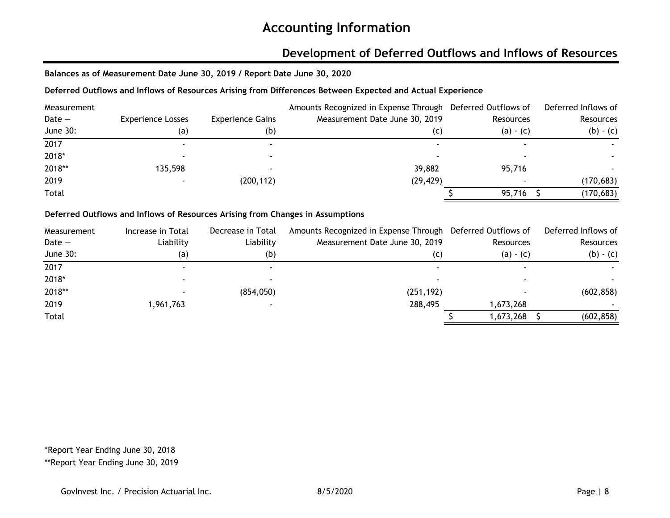### **Development of Deferred Outflows and Inflows of Resources**

**Balances as of Measurement Date June 30, 2019 / Report Date June 30, 2020**

#### **Deferred Outflows and Inflows of Resources Arising from Differences Between Expected and Actual Experience**

| Measurement |                          |                         | Amounts Recognized in Expense Through Deferred Outflows of |             | Deferred Inflows of |
|-------------|--------------------------|-------------------------|------------------------------------------------------------|-------------|---------------------|
| $Date -$    | <b>Experience Losses</b> | <b>Experience Gains</b> | Measurement Date June 30, 2019                             | Resources   | Resources           |
| June 30:    | (a)                      | (b)                     | (C)                                                        | $(a) - (c)$ | $(b) - (c)$         |
| 2017        |                          |                         |                                                            |             |                     |
| 2018*       |                          |                         |                                                            |             |                     |
| 2018**      | 135,598                  |                         | 39,882                                                     | 95,716      |                     |
| 2019        |                          | (200, 112)              | (29, 429)                                                  |             | (170, 683)          |
| Total       |                          |                         |                                                            | 95,716      | (170, 683)          |

#### **Deferred Outflows and Inflows of Resources Arising from Changes in Assumptions**

| Measurement | Increase in Total | Decrease in Total | Amounts Recognized in Expense Through Deferred Outflows of |             | Deferred Inflows of |
|-------------|-------------------|-------------------|------------------------------------------------------------|-------------|---------------------|
| Date $-$    | Liability         | Liability         | Measurement Date June 30, 2019                             | Resources   | Resources           |
| June 30:    | (a)               | (b)               | (C)                                                        | $(a) - (c)$ | $(b) - (c)$         |
| 2017        |                   |                   |                                                            |             |                     |
| 2018*       |                   |                   |                                                            |             |                     |
| 2018**      |                   | (854, 050)        | (251, 192)                                                 |             | (602, 858)          |
| 2019        | 1,961,763         |                   | 288,495                                                    | 1,673,268   |                     |
| Total       |                   |                   |                                                            | 1,673,268   | (602, 858)          |

\*Report Year Ending June 30, 2018

\*\*Report Year Ending June 30, 2019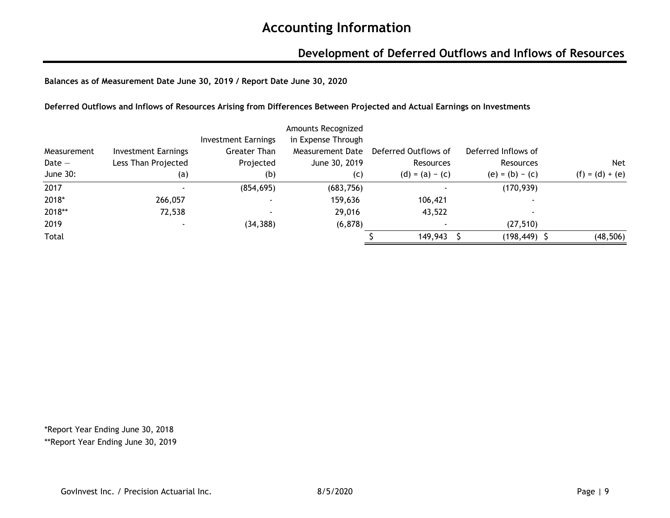### **Development of Deferred Outflows and Inflows of Resources**

**Balances as of Measurement Date June 30, 2019 / Report Date June 30, 2020**

**Deferred Outflows and Inflows of Resources Arising from Differences Between Projected and Actual Earnings on Investments**

|             |                            |                            | Amounts Recognized |                      |                     |                   |
|-------------|----------------------------|----------------------------|--------------------|----------------------|---------------------|-------------------|
|             |                            | <b>Investment Earnings</b> | in Expense Through |                      |                     |                   |
| Measurement | <b>Investment Earnings</b> | Greater Than               | Measurement Date   | Deferred Outflows of | Deferred Inflows of |                   |
| Date $-$    | Less Than Projected        | Projected                  | June 30, 2019      | Resources            | Resources           | <b>Net</b>        |
| June 30:    | (a)                        | (b)                        | (c)                | $(d) = (a) - (c)$    | $(e) = (b) - (c)$   | $(f) = (d) + (e)$ |
| 2017        |                            | (854, 695)                 | (683, 756)         |                      | (170, 939)          |                   |
| 2018*       | 266,057                    |                            | 159,636            | 106,421              |                     |                   |
| 2018**      | 72,538                     |                            | 29,016             | 43,522               |                     |                   |
| 2019        |                            | (34, 388)                  | (6, 878)           |                      | (27, 510)           |                   |
| Total       |                            |                            |                    | 149,943              | $(198, 449)$ \$     | (48, 506)         |

\*Report Year Ending June 30, 2018 \*\*Report Year Ending June 30, 2019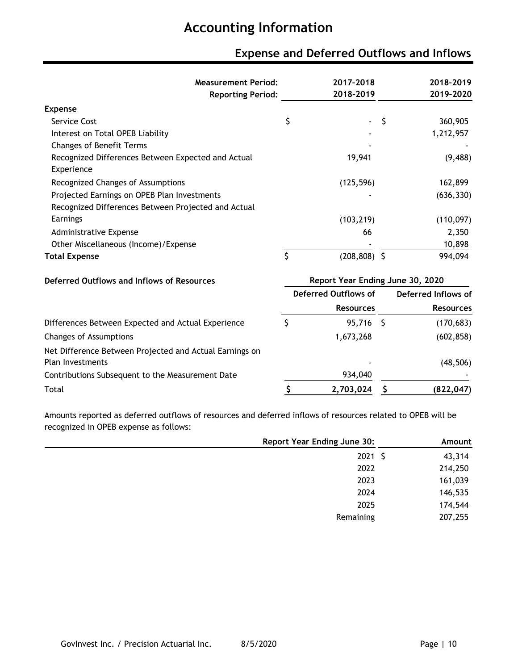# **Expense and Deferred Outflows and Inflows**

| <b>Measurement Period:</b><br><b>Reporting Period:</b>                             |                                  | 2017-2018<br>2018-2019 |    | 2018-2019<br>2019-2020 |
|------------------------------------------------------------------------------------|----------------------------------|------------------------|----|------------------------|
| <b>Expense</b>                                                                     |                                  |                        |    |                        |
| Service Cost                                                                       | \$                               |                        | \$ | 360,905                |
| Interest on Total OPEB Liability                                                   |                                  |                        |    | 1,212,957              |
| <b>Changes of Benefit Terms</b>                                                    |                                  |                        |    |                        |
| Recognized Differences Between Expected and Actual<br>Experience                   |                                  | 19,941                 |    | (9, 488)               |
| Recognized Changes of Assumptions                                                  |                                  | (125, 596)             |    | 162,899                |
| Projected Earnings on OPEB Plan Investments                                        |                                  |                        |    | (636, 330)             |
| Recognized Differences Between Projected and Actual                                |                                  |                        |    |                        |
| Earnings                                                                           |                                  | (103, 219)             |    | (110, 097)             |
| Administrative Expense                                                             |                                  | 66                     |    | 2,350                  |
| Other Miscellaneous (Income)/Expense                                               |                                  |                        |    | 10,898                 |
| <b>Total Expense</b>                                                               | \$                               | $(208, 808)$ \$        |    | 994,094                |
| Deferred Outflows and Inflows of Resources                                         | Report Year Ending June 30, 2020 |                        |    |                        |
|                                                                                    |                                  | Deferred Outflows of   |    | Deferred Inflows of    |
|                                                                                    |                                  | <b>Resources</b>       |    | <b>Resources</b>       |
| Differences Between Expected and Actual Experience                                 | \$                               | 95,716 \$              |    | (170, 683)             |
| <b>Changes of Assumptions</b>                                                      |                                  | 1,673,268              |    | (602, 858)             |
| Net Difference Between Projected and Actual Earnings on<br><b>Plan Investments</b> |                                  |                        |    | (48, 506)              |
| Contributions Subsequent to the Measurement Date                                   |                                  | 934,040                |    |                        |
| Total                                                                              | \$                               | 2,703,024              |    | (822, 047)             |

Amounts reported as deferred outflows of resources and deferred inflows of resources related to OPEB will be recognized in OPEB expense as follows:

| <b>Report Year Ending June 30:</b> | Amount  |
|------------------------------------|---------|
| $2021 \; \zeta$                    | 43,314  |
| 2022                               | 214,250 |
| 2023                               | 161,039 |
| 2024                               | 146,535 |
| 2025                               | 174,544 |
| Remaining                          | 207,255 |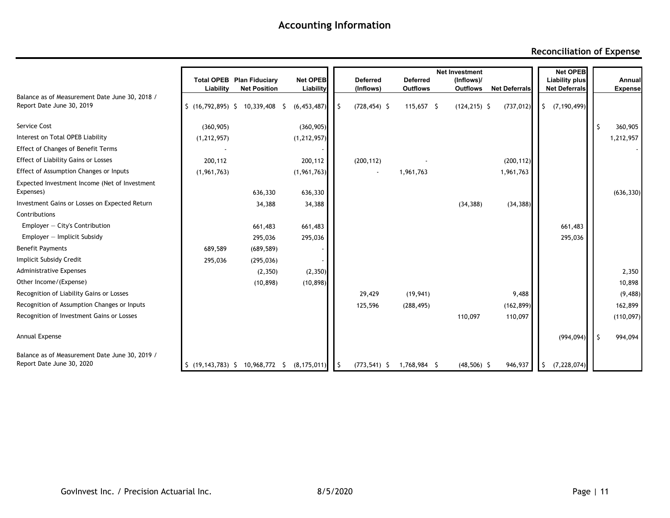#### **Reconciliation of Expense**

|                                                                             |               |                                                         |                              |                              |                                    | <b>Net Investment</b>  |                      | <b>Net OPEB</b>                        |    |                          |
|-----------------------------------------------------------------------------|---------------|---------------------------------------------------------|------------------------------|------------------------------|------------------------------------|------------------------|----------------------|----------------------------------------|----|--------------------------|
|                                                                             | Liability     | <b>Total OPEB Plan Fiduciary</b><br><b>Net Position</b> | <b>Net OPEB</b><br>Liability | <b>Deferred</b><br>(Inflows) | <b>Deferred</b><br><b>Outflows</b> | (Inflows)/<br>Outflows | <b>Net Deferrals</b> | Liability plus<br><b>Net Deferrals</b> |    | Annual<br><b>Expense</b> |
| Balance as of Measurement Date June 30, 2018 /<br>Report Date June 30, 2019 |               | \$(16, 792, 895) \$10, 339, 408 \$                      | (6, 453, 487)                | $(728, 454)$ \$              | $115,657$ \$                       | $(124, 215)$ \$        | (737, 012)           | $\frac{1}{2}$ (7,190,499)              |    |                          |
| Service Cost                                                                | (360, 905)    |                                                         | (360, 905)                   |                              |                                    |                        |                      |                                        | S  | 360,905                  |
| Interest on Total OPEB Liability                                            | (1, 212, 957) |                                                         | (1, 212, 957)                |                              |                                    |                        |                      |                                        |    | 1,212,957                |
| <b>Effect of Changes of Benefit Terms</b>                                   |               |                                                         |                              |                              |                                    |                        |                      |                                        |    |                          |
| <b>Effect of Liability Gains or Losses</b>                                  | 200,112       |                                                         | 200,112                      | (200, 112)                   |                                    |                        | (200, 112)           |                                        |    |                          |
| Effect of Assumption Changes or Inputs                                      | (1, 961, 763) |                                                         | (1, 961, 763)                | $\blacksquare$               | 1,961,763                          |                        | 1,961,763            |                                        |    |                          |
| Expected Investment Income (Net of Investment<br>Expenses)                  |               | 636,330                                                 | 636,330                      |                              |                                    |                        |                      |                                        |    | (636, 330)               |
| Investment Gains or Losses on Expected Return                               |               | 34,388                                                  | 34,388                       |                              |                                    | (34, 388)              | (34, 388)            |                                        |    |                          |
| Contributions                                                               |               |                                                         |                              |                              |                                    |                        |                      |                                        |    |                          |
| Employer $-$ City's Contribution                                            |               | 661,483                                                 | 661,483                      |                              |                                    |                        |                      | 661,483                                |    |                          |
| $Employer - Implicit Subsidy$                                               |               | 295,036                                                 | 295,036                      |                              |                                    |                        |                      | 295,036                                |    |                          |
| <b>Benefit Payments</b>                                                     | 689,589       | (689, 589)                                              |                              |                              |                                    |                        |                      |                                        |    |                          |
| Implicit Subsidy Credit                                                     | 295,036       | (295, 036)                                              |                              |                              |                                    |                        |                      |                                        |    |                          |
| <b>Administrative Expenses</b>                                              |               | (2,350)                                                 | (2, 350)                     |                              |                                    |                        |                      |                                        |    | 2,350                    |
| Other Income/(Expense)                                                      |               | (10, 898)                                               | (10, 898)                    |                              |                                    |                        |                      |                                        |    | 10,898                   |
| Recognition of Liability Gains or Losses                                    |               |                                                         |                              | 29,429                       | (19, 941)                          |                        | 9,488                |                                        |    | (9, 488)                 |
| Recognition of Assumption Changes or Inputs                                 |               |                                                         |                              | 125,596                      | (288, 495)                         |                        | (162, 899)           |                                        |    | 162,899                  |
| Recognition of Investment Gains or Losses                                   |               |                                                         |                              |                              |                                    | 110,097                | 110,097              |                                        |    | (110, 097)               |
| Annual Expense                                                              |               |                                                         |                              |                              |                                    |                        |                      | (994, 094)                             | -Ŝ | 994,094                  |
| Balance as of Measurement Date June 30, 2019 /<br>Report Date June 30, 2020 |               | \$(19, 143, 783) \$10, 968, 772 \$                      | (8, 175, 011)                | $(773, 541)$ \$              | 1,768,984 \$                       | $(48,506)$ \$          | 946,937              | (7, 228, 074)<br>S.                    |    |                          |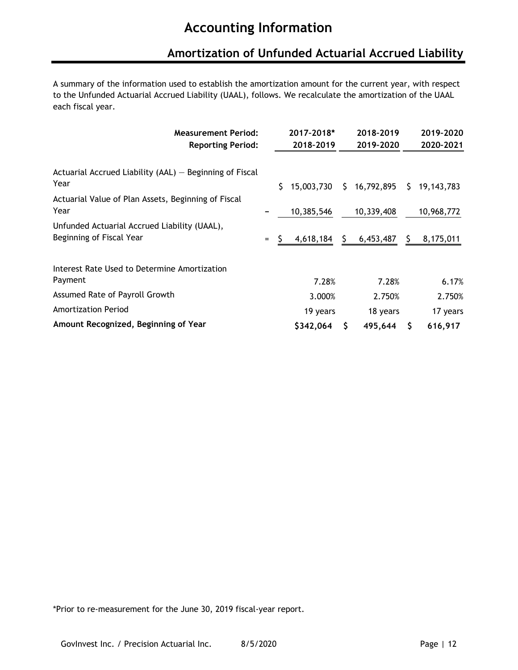### **Amortization of Unfunded Actuarial Accrued Liability**

A summary of the information used to establish the amortization amount for the current year, with respect to the Unfunded Actuarial Accrued Liability (UAAL), follows. We recalculate the amortization of the UAAL each fiscal year.

|                                                                                                                   |    | 2017-2018* |    | 2018-2019  |    | 2019-2020  |
|-------------------------------------------------------------------------------------------------------------------|----|------------|----|------------|----|------------|
|                                                                                                                   |    | 2018-2019  |    | 2019-2020  |    | 2020-2021  |
|                                                                                                                   |    |            |    |            |    |            |
|                                                                                                                   | S. | 15,003,730 | S. | 16,792,895 | S. | 19,143,783 |
|                                                                                                                   |    | 10,385,546 |    | 10,339,408 |    | 10,968,772 |
| $=$                                                                                                               | S  | 4,618,184  | S. | 6,453,487  | S. | 8,175,011  |
|                                                                                                                   |    |            |    |            |    |            |
|                                                                                                                   |    | 7.28%      |    | 7.28%      |    | 6.17%      |
|                                                                                                                   |    | 3.000%     |    | 2.750%     |    | 2.750%     |
|                                                                                                                   |    | 19 years   |    | 18 years   |    | 17 years   |
|                                                                                                                   |    | \$342,064  |    | 495,644    |    | 616,917    |
| <b>Measurement Period:</b><br><b>Reporting Period:</b><br>Actuarial Accrued Liability (AAL) - Beginning of Fiscal |    |            |    |            |    |            |

\*Prior to re-measurement for the June 30, 2019 fiscal-year report.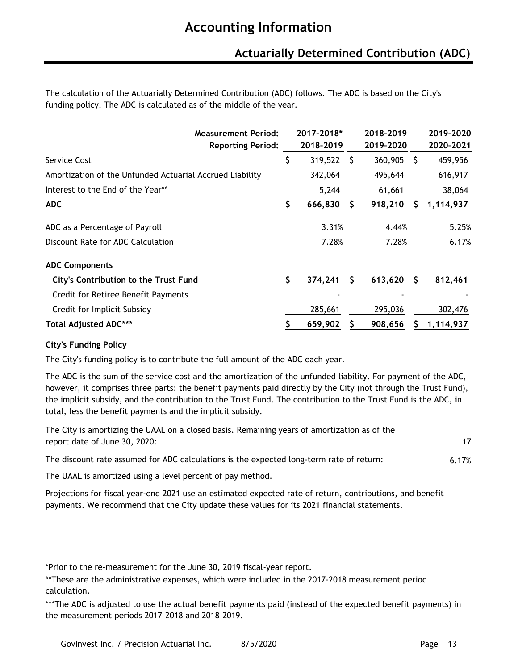### **Actuarially Determined Contribution (ADC)**

The calculation of the Actuarially Determined Contribution (ADC) follows. The ADC is based on the City's funding policy. The ADC is calculated as of the middle of the year.

| <b>Measurement Period:</b><br><b>Reporting Period:</b>   | 2017-2018*<br>2018-2019 |    | 2018-2019<br>2019-2020 |              | 2019-2020<br>2020-2021 |
|----------------------------------------------------------|-------------------------|----|------------------------|--------------|------------------------|
| Service Cost                                             | \$<br>319,522           | -S | 360,905                | -S           | 459,956                |
| Amortization of the Unfunded Actuarial Accrued Liability | 342,064                 |    | 495,644                |              | 616,917                |
| Interest to the End of the Year**                        | 5,244                   |    | 61,661                 |              | 38,064                 |
| <b>ADC</b>                                               | \$<br>666,830           | S  | 918,210                | S.           | 1,114,937              |
| ADC as a Percentage of Payroll                           | 3.31%                   |    | 4.44%                  |              | 5.25%                  |
| Discount Rate for ADC Calculation                        | 7.28%                   |    | 7.28%                  |              | 6.17%                  |
| <b>ADC Components</b>                                    |                         |    |                        |              |                        |
| <b>City's Contribution to the Trust Fund</b>             | \$<br>374,241           | S. | 613,620                | <sub>S</sub> | 812,461                |
| Credit for Retiree Benefit Payments                      |                         |    |                        |              |                        |
| Credit for Implicit Subsidy                              | 285,661                 |    | 295,036                |              | 302,476                |
| <b>Total Adjusted ADC***</b>                             | 659,902                 |    | 908,656                | S            | 1,114,937              |

#### **City's Funding Policy**

The City's funding policy is to contribute the full amount of the ADC each year.

The ADC is the sum of the service cost and the amortization of the unfunded liability. For payment of the ADC, however, it comprises three parts: the benefit payments paid directly by the City (not through the Trust Fund), the implicit subsidy, and the contribution to the Trust Fund. The contribution to the Trust Fund is the ADC, in total, less the benefit payments and the implicit subsidy.

| The City is amortizing the UAAL on a closed basis. Remaining years of amortization as of the<br>report date of June 30, 2020: | 17    |
|-------------------------------------------------------------------------------------------------------------------------------|-------|
| The discount rate assumed for ADC calculations is the expected long-term rate of return:                                      | 6.17% |
| The UAAL is amortized using a level percent of pay method.                                                                    |       |

Projections for fiscal year-end 2021 use an estimated expected rate of return, contributions, and benefit payments. We recommend that the City update these values for its 2021 financial statements.

\*Prior to the re-measurement for the June 30, 2019 fiscal-year report.

\*\*These are the administrative expenses, which were included in the 2017-2018 measurement period calculation.

\*\*\*The ADC is adjusted to use the actual benefit payments paid (instead of the expected benefit payments) in the measurement periods 2017–2018 and 2018–2019.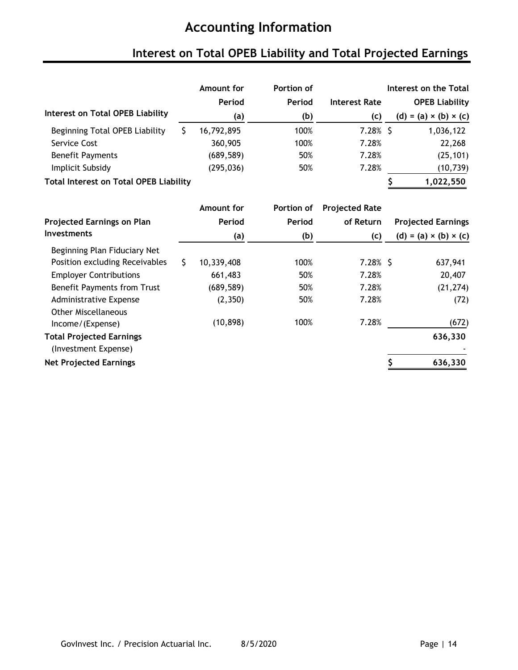# **Interest on Total OPEB Liability and Total Projected Earnings**

|                                               |    | Amount for | Portion of |                       | Interest on the Total             |  |  |  |
|-----------------------------------------------|----|------------|------------|-----------------------|-----------------------------------|--|--|--|
|                                               |    | Period     | Period     | <b>Interest Rate</b>  | <b>OPEB Liability</b>             |  |  |  |
| <b>Interest on Total OPEB Liability</b>       |    | (a)        | (b)        | (c)                   | $(d) = (a) \times (b) \times (c)$ |  |  |  |
| Beginning Total OPEB Liability                | \$ | 16,792,895 | 100%       | $7.28\%$ \$           | 1,036,122                         |  |  |  |
| Service Cost                                  |    | 360,905    | 100%       | 7.28%                 | 22,268                            |  |  |  |
| <b>Benefit Payments</b>                       |    | (689, 589) | 50%        | 7.28%                 | (25, 101)                         |  |  |  |
| Implicit Subsidy                              |    | (295, 036) | 50%        | 7.28%                 | (10, 739)                         |  |  |  |
| <b>Total Interest on Total OPEB Liability</b> |    |            |            |                       | 1,022,550                         |  |  |  |
|                                               |    | Amount for | Portion of | <b>Projected Rate</b> |                                   |  |  |  |
| <b>Projected Earnings on Plan</b>             |    | Period     | Period     | of Return             | <b>Projected Earnings</b>         |  |  |  |
| <b>Investments</b>                            |    | (a)        | (b)        | (c)                   | $(d) = (a) \times (b) \times (c)$ |  |  |  |
| Beginning Plan Fiduciary Net                  |    |            |            |                       |                                   |  |  |  |
| Position excluding Receivables                | Š. | 10,339,408 | 100%       | $7.28\%$ \$           | 637,941                           |  |  |  |
| <b>Employer Contributions</b>                 |    | 661,483    | 50%        | 7.28%                 | 20,407                            |  |  |  |
| <b>Benefit Payments from Trust</b>            |    | (689, 589) | 50%        | 7.28%                 | (21, 274)                         |  |  |  |
| Administrative Expense<br>Other Miscellaneous |    | (2,350)    | 50%        | 7.28%                 | (72)                              |  |  |  |

| <b>Other Miscellaneous</b><br>Income/(Expense)   | (10, 898) | 100% | 7.28% | (672)   |
|--------------------------------------------------|-----------|------|-------|---------|
| Total Projected Earnings<br>(Investment Expense) |           |      |       | 636,330 |
| <b>Net Projected Earnings</b>                    |           |      |       | 636,330 |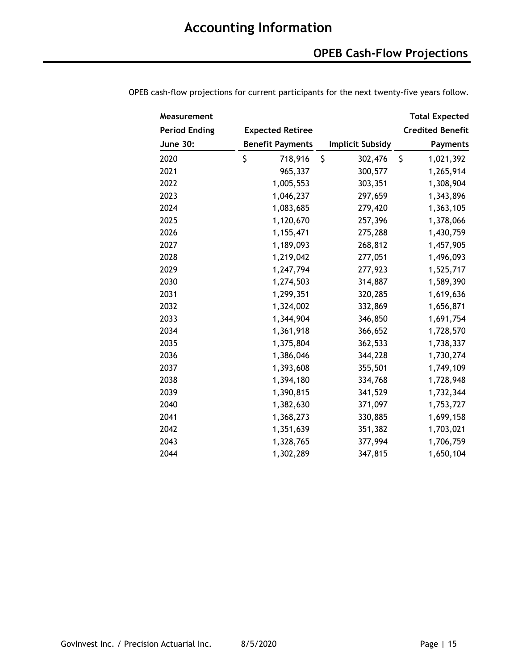### **OPEB Cash-Flow Projections**

| Measurement          |                         |           |                         |               | <b>Total Expected</b>   |
|----------------------|-------------------------|-----------|-------------------------|---------------|-------------------------|
| <b>Period Ending</b> | <b>Expected Retiree</b> |           |                         |               | <b>Credited Benefit</b> |
| <b>June 30:</b>      | <b>Benefit Payments</b> |           | <b>Implicit Subsidy</b> |               | <b>Payments</b>         |
| 2020                 | \$                      | 718,916   | \$                      | \$<br>302,476 | 1,021,392               |
| 2021                 |                         | 965,337   |                         | 300,577       | 1,265,914               |
| 2022                 |                         | 1,005,553 |                         | 303,351       | 1,308,904               |
| 2023                 |                         | 1,046,237 |                         | 297,659       | 1,343,896               |
| 2024                 |                         | 1,083,685 |                         | 279,420       | 1,363,105               |
| 2025                 |                         | 1,120,670 |                         | 257,396       | 1,378,066               |
| 2026                 |                         | 1,155,471 |                         | 275,288       | 1,430,759               |
| 2027                 |                         | 1,189,093 |                         | 268,812       | 1,457,905               |
| 2028                 |                         | 1,219,042 |                         | 277,051       | 1,496,093               |
| 2029                 |                         | 1,247,794 |                         | 277,923       | 1,525,717               |
| 2030                 |                         | 1,274,503 |                         | 314,887       | 1,589,390               |
| 2031                 |                         | 1,299,351 |                         | 320,285       | 1,619,636               |
| 2032                 |                         | 1,324,002 |                         | 332,869       | 1,656,871               |
| 2033                 |                         | 1,344,904 |                         | 346,850       | 1,691,754               |
| 2034                 |                         | 1,361,918 |                         | 366,652       | 1,728,570               |
| 2035                 |                         | 1,375,804 |                         | 362,533       | 1,738,337               |
| 2036                 |                         | 1,386,046 |                         | 344,228       | 1,730,274               |
| 2037                 |                         | 1,393,608 |                         | 355,501       | 1,749,109               |
| 2038                 |                         | 1,394,180 |                         | 334,768       | 1,728,948               |
| 2039                 |                         | 1,390,815 |                         | 341,529       | 1,732,344               |
| 2040                 |                         | 1,382,630 |                         | 371,097       | 1,753,727               |
| 2041                 |                         | 1,368,273 |                         | 330,885       | 1,699,158               |
| 2042                 |                         | 1,351,639 |                         | 351,382       | 1,703,021               |
| 2043                 |                         | 1,328,765 |                         | 377,994       | 1,706,759               |
| 2044                 |                         | 1,302,289 |                         | 347,815       | 1,650,104               |

OPEB cash-flow projections for current participants for the next twenty-five years follow.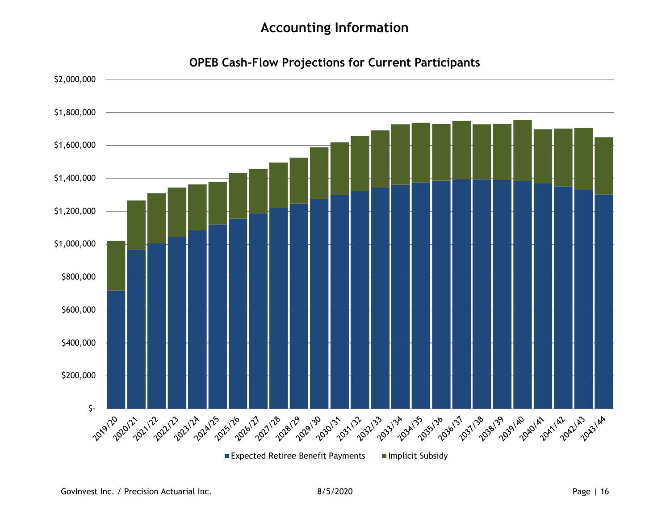**OPEB Cash-Flow Projections for Current Participants**

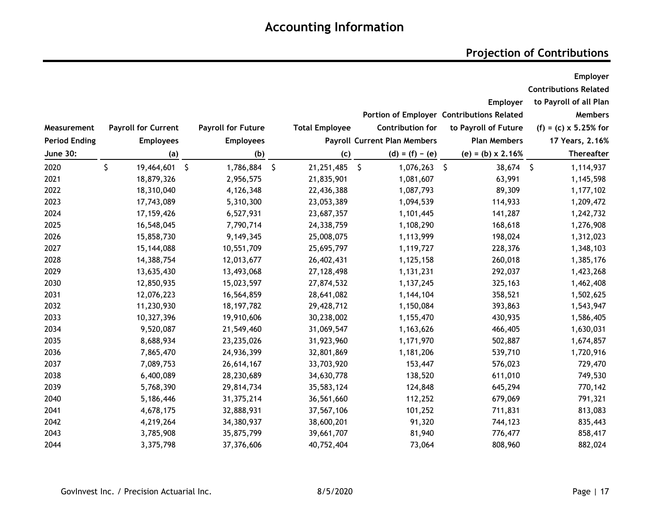### **Projection of Contributions**

|                      |                            |                           |         |                       |                                     |                                           | Employer                     |
|----------------------|----------------------------|---------------------------|---------|-----------------------|-------------------------------------|-------------------------------------------|------------------------------|
|                      |                            |                           |         |                       |                                     |                                           | <b>Contributions Related</b> |
|                      |                            |                           |         |                       |                                     | Employer                                  | to Payroll of all Plan       |
|                      |                            |                           |         |                       |                                     | Portion of Employer Contributions Related | <b>Members</b>               |
| Measurement          | <b>Payroll for Current</b> | <b>Payroll for Future</b> |         | <b>Total Employee</b> | <b>Contribution for</b>             | to Payroll of Future                      | $(f) = (c) \times 5.25%$ for |
| <b>Period Ending</b> | <b>Employees</b>           | <b>Employees</b>          |         |                       | <b>Payroll Current Plan Members</b> | <b>Plan Members</b>                       | 17 Years, 2.16%              |
| <b>June 30:</b>      | (a)                        | (b)                       |         | (c)                   | $(d) = (f) - (e)$                   | $(e) = (b) \times 2.16%$                  | Thereafter                   |
| 2020                 | \$<br>19,464,601 \$        | 1,786,884                 | $\zeta$ | $\zeta$<br>21,251,485 | 1,076,263                           | $\zeta$<br>38,674                         | $\zeta$<br>1,114,937         |
| 2021                 | 18,879,326                 | 2,956,575                 |         | 21,835,901            | 1,081,607                           | 63,991                                    | 1,145,598                    |
| 2022                 | 18,310,040                 | 4,126,348                 |         | 22,436,388            | 1,087,793                           | 89,309                                    | 1,177,102                    |
| 2023                 | 17,743,089                 | 5,310,300                 |         | 23,053,389            | 1,094,539                           | 114,933                                   | 1,209,472                    |
| 2024                 | 17, 159, 426               | 6,527,931                 |         | 23,687,357            | 1,101,445                           | 141,287                                   | 1,242,732                    |
| 2025                 | 16,548,045                 | 7,790,714                 |         | 24,338,759            | 1,108,290                           | 168,618                                   | 1,276,908                    |
| 2026                 | 15,858,730                 | 9,149,345                 |         | 25,008,075            | 1,113,999                           | 198,024                                   | 1,312,023                    |
| 2027                 | 15,144,088                 | 10,551,709                |         | 25,695,797            | 1,119,727                           | 228,376                                   | 1,348,103                    |
| 2028                 | 14,388,754                 | 12,013,677                |         | 26,402,431            | 1,125,158                           | 260,018                                   | 1,385,176                    |
| 2029                 | 13,635,430                 | 13,493,068                |         | 27,128,498            | 1,131,231                           | 292,037                                   | 1,423,268                    |
| 2030                 | 12,850,935                 | 15,023,597                |         | 27,874,532            | 1,137,245                           | 325,163                                   | 1,462,408                    |
| 2031                 | 12,076,223                 | 16,564,859                |         | 28,641,082            | 1,144,104                           | 358,521                                   | 1,502,625                    |
| 2032                 | 11,230,930                 | 18, 197, 782              |         | 29,428,712            | 1,150,084                           | 393,863                                   | 1,543,947                    |
| 2033                 | 10,327,396                 | 19,910,606                |         | 30,238,002            | 1,155,470                           | 430,935                                   | 1,586,405                    |
| 2034                 | 9,520,087                  | 21,549,460                |         | 31,069,547            | 1,163,626                           | 466,405                                   | 1,630,031                    |
| 2035                 | 8,688,934                  | 23,235,026                |         | 31,923,960            | 1,171,970                           | 502,887                                   | 1,674,857                    |
| 2036                 | 7,865,470                  | 24,936,399                |         | 32,801,869            | 1,181,206                           | 539,710                                   | 1,720,916                    |
| 2037                 | 7,089,753                  | 26,614,167                |         | 33,703,920            | 153,447                             | 576,023                                   | 729,470                      |
| 2038                 | 6,400,089                  | 28,230,689                |         | 34,630,778            | 138,520                             | 611,010                                   | 749,530                      |
| 2039                 | 5,768,390                  | 29,814,734                |         | 35,583,124            | 124,848                             | 645,294                                   | 770,142                      |
| 2040                 | 5,186,446                  | 31,375,214                |         | 36,561,660            | 112,252                             | 679,069                                   | 791,321                      |
| 2041                 | 4,678,175                  | 32,888,931                |         | 37,567,106            | 101,252                             | 711,831                                   | 813,083                      |
| 2042                 | 4,219,264                  | 34,380,937                |         | 38,600,201            | 91,320                              | 744,123                                   | 835,443                      |
| 2043                 | 3,785,908                  | 35,875,799                |         | 39,661,707            | 81,940                              | 776,477                                   | 858,417                      |
| 2044                 | 3,375,798                  | 37,376,606                |         | 40,752,404            | 73,064                              | 808,960                                   | 882,024                      |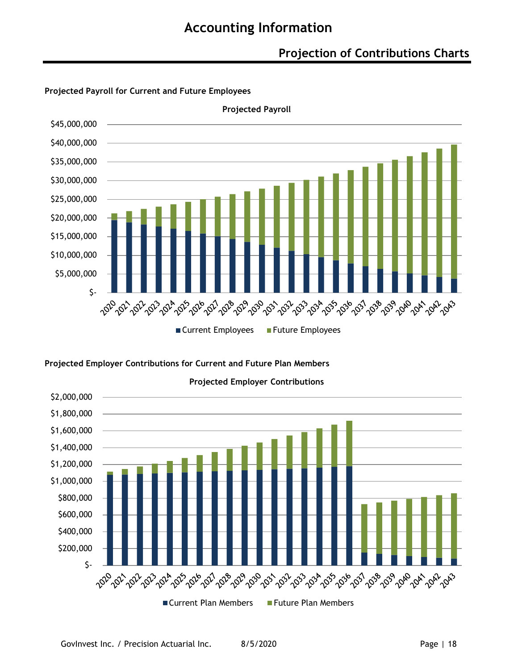### **Projection of Contributions Charts**



#### **Projected Payroll for Current and Future Employees**

**Projected Employer Contributions for Current and Future Plan Members**

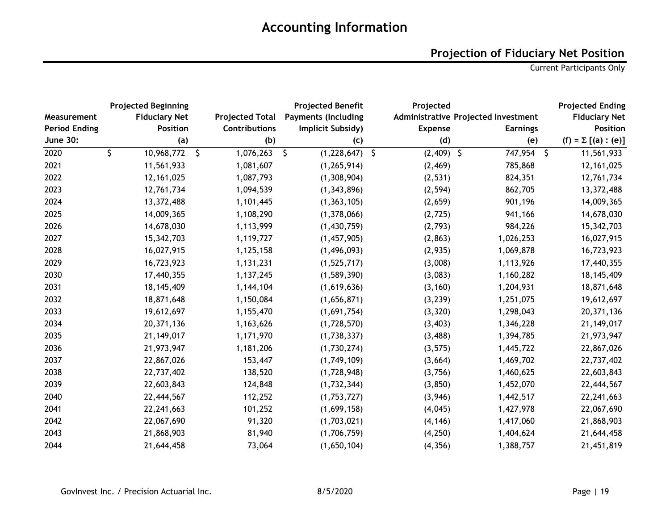### **Projection of Fiduciary Net Position**

Current Participants Only

|                      | <b>Projected Beginning</b> |                        | <b>Projected Benefit</b>   | Projected      |                                     | <b>Projected Ending</b>  |
|----------------------|----------------------------|------------------------|----------------------------|----------------|-------------------------------------|--------------------------|
| Measurement          | <b>Fiduciary Net</b>       | <b>Projected Total</b> | <b>Payments (Including</b> |                | Administrative Projected Investment | <b>Fiduciary Net</b>     |
| <b>Period Ending</b> | <b>Position</b>            | Contributions          | Implicit Subsidy)          | <b>Expense</b> | <b>Earnings</b>                     | <b>Position</b>          |
| <b>June 30:</b>      | (a)                        | (b)                    | (c)                        | (d)            | (e)                                 | $(f) = \sum [(a) : (e)]$ |
| 2020                 | \$<br>10,968,772 \$        | 1,076,263              | \$<br>$(1,228,647)$ \$     | $(2,409)$ \$   | 747,954 \$                          | 11,561,933               |
| 2021                 | 11,561,933                 | 1,081,607              | (1, 265, 914)              | (2, 469)       | 785,868                             | 12, 161, 025             |
| 2022                 | 12, 161, 025               | 1,087,793              | (1,308,904)                | (2, 531)       | 824,351                             | 12,761,734               |
| 2023                 | 12,761,734                 | 1,094,539              | (1, 343, 896)              | (2, 594)       | 862,705                             | 13,372,488               |
| 2024                 | 13,372,488                 | 1,101,445              | (1, 363, 105)              | (2,659)        | 901,196                             | 14,009,365               |
| 2025                 | 14,009,365                 | 1,108,290              | (1,378,066)                | (2, 725)       | 941,166                             | 14,678,030               |
| 2026                 | 14,678,030                 | 1,113,999              | (1,430,759)                | (2,793)        | 984,226                             | 15,342,703               |
| 2027                 | 15,342,703                 | 1,119,727              | (1,457,905)                | (2, 863)       | 1,026,253                           | 16,027,915               |
| 2028                 | 16,027,915                 | 1,125,158              | (1,496,093)                | (2,935)        | 1,069,878                           | 16,723,923               |
| 2029                 | 16,723,923                 | 1,131,231              | (1,525,717)                | (3,008)        | 1,113,926                           | 17,440,355               |
| 2030                 | 17,440,355                 | 1,137,245              | (1,589,390)                | (3,083)        | 1,160,282                           | 18, 145, 409             |
| 2031                 | 18, 145, 409               | 1,144,104              | (1,619,636)                | (3, 160)       | 1,204,931                           | 18,871,648               |
| 2032                 | 18,871,648                 | 1,150,084              | (1,656,871)                | (3, 239)       | 1,251,075                           | 19,612,697               |
| 2033                 | 19,612,697                 | 1,155,470              | (1,691,754)                | (3, 320)       | 1,298,043                           | 20,371,136               |
| 2034                 | 20,371,136                 | 1,163,626              | (1,728,570)                | (3, 403)       | 1,346,228                           | 21, 149, 017             |
| 2035                 | 21, 149, 017               | 1,171,970              | (1,738,337)                | (3, 488)       | 1,394,785                           | 21,973,947               |
| 2036                 | 21,973,947                 | 1,181,206              | (1,730,274)                | (3, 575)       | 1,445,722                           | 22,867,026               |
| 2037                 | 22,867,026                 | 153,447                | (1,749,109)                | (3,664)        | 1,469,702                           | 22,737,402               |
| 2038                 | 22,737,402                 | 138,520                | (1,728,948)                | (3,756)        | 1,460,625                           | 22,603,843               |
| 2039                 | 22,603,843                 | 124,848                | (1,732,344)                | (3, 850)       | 1,452,070                           | 22,444,567               |
| 2040                 | 22,444,567                 | 112,252                | (1,753,727)                | (3,946)        | 1,442,517                           | 22,241,663               |
| 2041                 | 22,241,663                 | 101,252                | (1,699,158)                | (4,045)        | 1,427,978                           | 22,067,690               |
| 2042                 | 22,067,690                 | 91,320                 | (1,703,021)                | (4, 146)       | 1,417,060                           | 21,868,903               |
| 2043                 | 21,868,903                 | 81,940                 | (1,706,759)                | (4, 250)       | 1,404,624                           | 21,644,458               |
| 2044                 | 21,644,458                 | 73,064                 | (1,650,104)                | (4, 356)       | 1,388,757                           | 21,451,819               |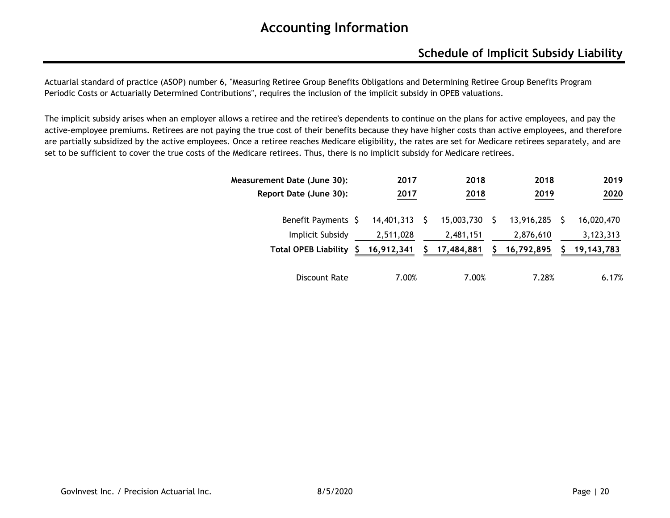### **Schedule of Implicit Subsidy Liability**

Actuarial standard of practice (ASOP) number 6, "Measuring Retiree Group Benefits Obligations and Determining Retiree Group Benefits Program Periodic Costs or Actuarially Determined Contributions", requires the inclusion of the implicit subsidy in OPEB valuations.

The implicit subsidy arises when an employer allows a retiree and the retiree's dependents to continue on the plans for active employees, and pay the active-employee premiums. Retirees are not paying the true cost of their benefits because they have higher costs than active employees, and therefore are partially subsidized by the active employees. Once a retiree reaches Medicare eligibility, the rates are set for Medicare retirees separately, and are set to be sufficient to cover the true costs of the Medicare retirees. Thus, there is no implicit subsidy for Medicare retirees.

| Measurement Date (June 30):       | 2017       | 2018 | 2018       |            |  |              |  |
|-----------------------------------|------------|------|------------|------------|--|--------------|--|
| Report Date (June 30):            | 2017       |      | 2018       | 2019       |  | 2020         |  |
| Benefit Payments \$               | 14,401,313 |      | 15,003,730 | 13,916,285 |  | 16,020,470   |  |
| <b>Implicit Subsidy</b>           | 2,511,028  |      | 2,481,151  | 2,876,610  |  | 3,123,313    |  |
| <b>Total OPEB Liability</b><br>S. | 16,912,341 |      | 17,484,881 | 16,792,895 |  | 19, 143, 783 |  |
| Discount Rate                     | 7.00%      |      | 7.00%      | 7.28%      |  | 6.17%        |  |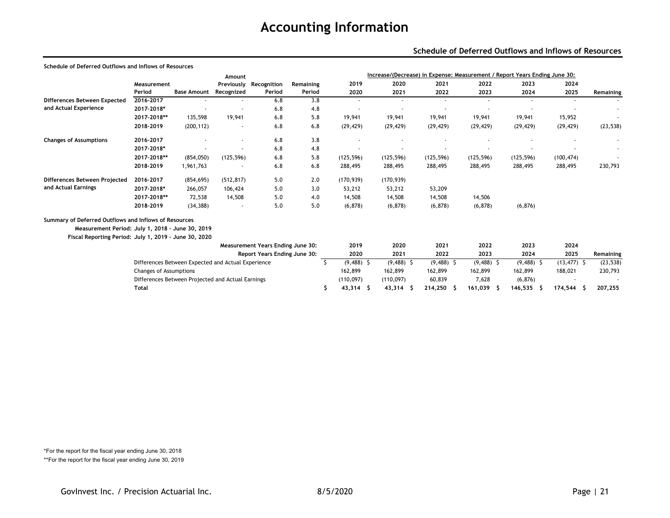#### **Schedule of Deferred Outflows and Inflows of Resources**

| Schedule of Deferred Outflows and Inflows of Resources |                               |                                                    |            |                                   |           |                  |              |                                                                            |                          |              |                |           |
|--------------------------------------------------------|-------------------------------|----------------------------------------------------|------------|-----------------------------------|-----------|------------------|--------------|----------------------------------------------------------------------------|--------------------------|--------------|----------------|-----------|
|                                                        |                               |                                                    | Amount     |                                   |           |                  |              | Increase/(Decrease) in Expense: Measurement / Report Years Ending June 30: |                          |              |                |           |
|                                                        | Measurement                   |                                                    | Previously | Recognition                       | Remaining | 2019             | 2020         | 2021                                                                       | 2022                     | 2023         | 2024           |           |
|                                                        | Period                        | <b>Base Amount</b>                                 | Recognized | Period                            | Period    | 2020             | 2021         | 2022                                                                       | 2023                     | 2024         | 2025           | Remaining |
| Differences Between Expected                           | 2016-2017                     |                                                    |            | 6.8                               | 3.8       | $\sim$           | $\sim$       | ٠                                                                          | $\sim$                   | $\sim$       | $\sim$         | $\sim$    |
| and Actual Experience                                  | 2017-2018*                    |                                                    |            | 6.8                               | 4.8       |                  |              |                                                                            |                          |              |                |           |
|                                                        | 2017-2018**                   | 135,598                                            | 19,941     | 6.8                               | 5.8       | 19,941           | 19,941       | 19,941                                                                     | 19,941                   | 19,941       | 15,952         |           |
|                                                        | 2018-2019                     | (200, 112)                                         |            | 6.8                               | 6.8       | (29, 429)        | (29, 429)    | (29, 429)                                                                  | (29, 429)                | (29, 429)    | (29, 429)      | (23, 538) |
| <b>Changes of Assumptions</b>                          | 2016-2017                     |                                                    |            | 6.8                               | 3.8       |                  |              |                                                                            |                          |              |                |           |
|                                                        | 2017-2018*                    |                                                    |            | 6.8                               | 4.8       |                  |              |                                                                            | $\overline{\phantom{a}}$ |              |                |           |
|                                                        | 2017-2018**                   | (854,050)                                          | (125, 596) | 6.8                               | 5.8       | (125, 596)       | (125, 596)   | (125, 596)                                                                 | (125, 596)               | (125, 596)   | (100, 474)     |           |
|                                                        | 2018-2019                     | 1,961,763                                          |            | 6.8                               | 6.8       | 288,495          | 288,495      | 288,495                                                                    | 288,495                  | 288,495      | 288,495        | 230,793   |
| Differences Between Projected                          | 2016-2017                     | (854, 695)                                         | (512, 817) | 5.0                               | 2.0       | (170, 939)       | (170, 939)   |                                                                            |                          |              |                |           |
| and Actual Earnings                                    | 2017-2018*                    | 266,057                                            | 106,424    | 5.0                               | 3.0       | 53,212           | 53,212       | 53,209                                                                     |                          |              |                |           |
|                                                        | 2017-2018**                   | 72.538                                             | 14,508     | 5.0                               | 4.0       | 14,508           | 14,508       | 14,508                                                                     | 14,506                   |              |                |           |
|                                                        | 2018-2019                     | (34, 388)                                          |            | 5.0                               | 5.0       | (6, 878)         | (6, 878)     | (6, 878)                                                                   | (6, 878)                 | (6, 876)     |                |           |
| Summary of Deferred Outflows and Inflows of Resources  |                               |                                                    |            |                                   |           |                  |              |                                                                            |                          |              |                |           |
| Measurement Period: July 1, 2018 - June 30, 2019       |                               |                                                    |            |                                   |           |                  |              |                                                                            |                          |              |                |           |
| Fiscal Reporting Period: July 1, 2019 - June 30, 2020  |                               |                                                    |            |                                   |           |                  |              |                                                                            |                          |              |                |           |
|                                                        |                               |                                                    |            | Measurement Years Ending June 30: |           | 2019             | 2020         | 2021                                                                       | 2022                     | 2023         | 2024           |           |
|                                                        |                               |                                                    |            | Report Years Ending June 30:      |           | 2020             | 2021         | 2022                                                                       | 2023                     | 2024         | 2025           | Remaining |
|                                                        |                               | Differences Between Expected and Actual Experience |            |                                   |           | $(9,488)$ \$     | $(9,488)$ \$ | $(9,488)$ \$                                                               | $(9,488)$ \$             | $(9,488)$ \$ | $(13, 477)$ \$ | (23, 538) |
|                                                        | <b>Changes of Assumptions</b> |                                                    |            |                                   |           | 162,899          | 162,899      | 162,899                                                                    | 162,899                  | 162,899      | 188,021        | 230,793   |
|                                                        |                               | Differences Between Projected and Actual Earnings  |            |                                   |           | (110, 097)       | (110, 097)   | 60,839                                                                     | 7,628                    | (6, 876)     |                |           |
|                                                        | <b>Total</b>                  |                                                    |            |                                   |           | Ŝ<br>$43,314$ \$ | 43,314       | 214,250<br>- S<br>s                                                        | 161,039<br>-S            | 146,535      | 174,544        | 207,255   |

\*For the report for the fiscal year ending June 30, 2018 \*\*For the report for the fiscal year ending June 30, 2019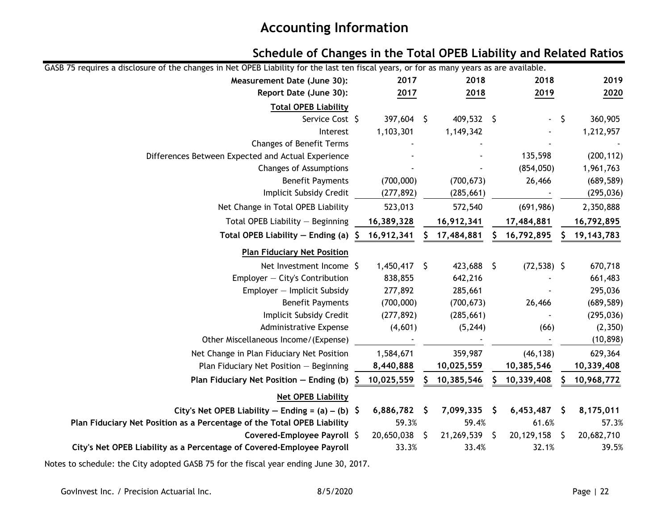### **Schedule of Changes in the Total OPEB Liability and Related Ratios**

| GASB 75 requires a disclosure of the changes in Net OPEB Liability for the last ten fiscal years, or for as many years as are available. |                |     |              |      |                |     |              |
|------------------------------------------------------------------------------------------------------------------------------------------|----------------|-----|--------------|------|----------------|-----|--------------|
| Measurement Date (June 30):                                                                                                              | 2017           |     | 2018         | 2018 |                |     | 2019         |
| Report Date (June 30):                                                                                                                   | 2017           |     | 2018         |      | 2019           |     | 2020         |
| <b>Total OPEB Liability</b>                                                                                                              |                |     |              |      |                |     |              |
| Service Cost \$                                                                                                                          | 397,604 \$     |     | $409,532$ \$ |      | $\blacksquare$ | \$  | 360,905      |
| Interest                                                                                                                                 | 1,103,301      |     | 1,149,342    |      |                |     | 1,212,957    |
| Changes of Benefit Terms                                                                                                                 |                |     |              |      |                |     |              |
| Differences Between Expected and Actual Experience                                                                                       |                |     |              |      | 135,598        |     | (200, 112)   |
| <b>Changes of Assumptions</b>                                                                                                            |                |     |              |      | (854, 050)     |     | 1,961,763    |
| <b>Benefit Payments</b>                                                                                                                  | (700,000)      |     | (700, 673)   |      | 26,466         |     | (689, 589)   |
| Implicit Subsidy Credit                                                                                                                  | (277, 892)     |     | (285, 661)   |      |                |     | (295, 036)   |
| Net Change in Total OPEB Liability                                                                                                       | 523,013        |     | 572,540      |      | (691, 986)     |     | 2,350,888    |
| Total OPEB Liability - Beginning                                                                                                         | 16,389,328     |     | 16,912,341   |      | 17,484,881     |     | 16,792,895   |
| Total OPEB Liability $-$ Ending (a) $\oint$                                                                                              | 16,912,341     | S.  | 17,484,881   |      | 16,792,895     |     | 19, 143, 783 |
| <b>Plan Fiduciary Net Position</b>                                                                                                       |                |     |              |      |                |     |              |
| Net Investment Income \$                                                                                                                 | $1,450,417$ \$ |     | 423,688 \$   |      | $(72, 538)$ \$ |     | 670,718      |
| Employer - City's Contribution                                                                                                           | 838,855        |     | 642,216      |      |                |     | 661,483      |
| Employer - Implicit Subsidy                                                                                                              | 277,892        |     | 285,661      |      |                |     | 295,036      |
| <b>Benefit Payments</b>                                                                                                                  | (700,000)      |     | (700, 673)   |      | 26,466         |     | (689, 589)   |
| Implicit Subsidy Credit                                                                                                                  | (277, 892)     |     | (285, 661)   |      |                |     | (295, 036)   |
| <b>Administrative Expense</b>                                                                                                            | (4,601)        |     | (5, 244)     |      | (66)           |     | (2, 350)     |
| Other Miscellaneous Income/(Expense)                                                                                                     |                |     |              |      |                |     | (10, 898)    |
| Net Change in Plan Fiduciary Net Position                                                                                                | 1,584,671      |     | 359,987      |      | (46, 138)      |     | 629,364      |
| Plan Fiduciary Net Position - Beginning                                                                                                  | 8,440,888      |     | 10,025,559   |      | 10,385,546     |     | 10,339,408   |
| Plan Fiduciary Net Position - Ending (b)                                                                                                 | 10,025,559     |     | 10,385,546   |      | 10,339,408     |     | 10,968,772   |
| <b>Net OPEB Liability</b>                                                                                                                |                |     |              |      |                |     |              |
| City's Net OPEB Liability – Ending = $(a) - (b)$ \$                                                                                      | 6,886,782      | -\$ | 7,099,335    | \$.  | 6,453,487      | \$  | 8,175,011    |
| Plan Fiduciary Net Position as a Percentage of the Total OPEB Liability                                                                  | 59.3%          |     | 59.4%        |      | 61.6%          |     | 57.3%        |
| Covered-Employee Payroll \$                                                                                                              | 20,650,038     | \$  | 21,269,539   | S.   | 20,129,158     | -\$ | 20,682,710   |
| City's Net OPEB Liability as a Percentage of Covered-Employee Payroll                                                                    | 33.3%          |     | 33.4%        |      | 32.1%          |     | 39.5%        |

Notes to schedule: the City adopted GASB 75 for the fiscal year ending June 30, 2017.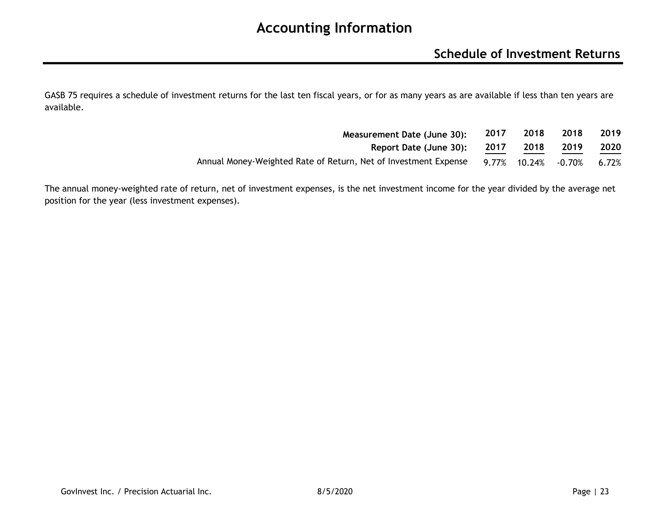### **Schedule of Investment Returns**

GASB 75 requires a schedule of investment returns for the last ten fiscal years, or for as many years as are available if less than ten years are available.

| Measurement Date (June 30):                                     | 2017  | 2018          | 2018 | 2019  |
|-----------------------------------------------------------------|-------|---------------|------|-------|
| Report Date (June 30):                                          | 2017  | 2018          | 2019 | 2020  |
| Annual Money-Weighted Rate of Return, Net of Investment Expense | 9.77% | 10.24% -0.70% |      | 6.72% |

The annual money-weighted rate of return, net of investment expenses, is the net investment income for the year divided by the average net position for the year (less investment expenses).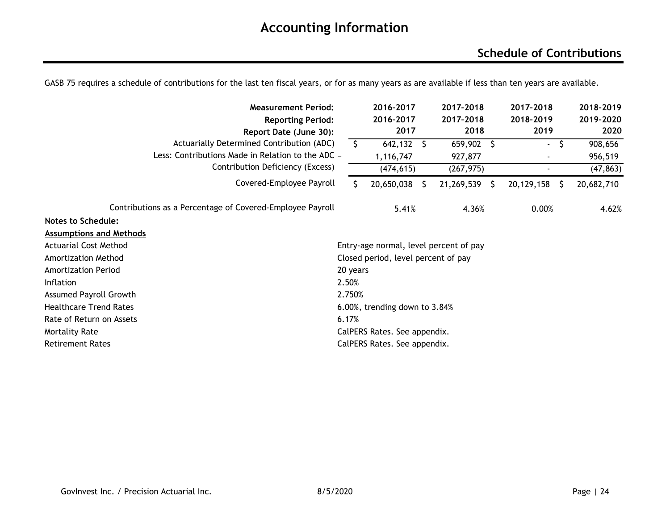### **Schedule of Contributions**

| <b>Measurement Period:</b>                                |                                 |          | 2016-2017                           |   | 2017-2018                              | 2017-2018  |    | 2018-2019  |
|-----------------------------------------------------------|---------------------------------|----------|-------------------------------------|---|----------------------------------------|------------|----|------------|
| <b>Reporting Period:</b>                                  |                                 |          | 2016-2017                           |   | 2017-2018                              | 2018-2019  |    | 2019-2020  |
| Report Date (June 30):                                    |                                 |          | 2017                                |   | 2018                                   | 2019       |    | 2020       |
| Actuarially Determined Contribution (ADC)                 |                                 | S        | 642,132                             | S | 659,902<br>- \$                        | ۰.         | \$ | 908,656    |
| Less: Contributions Made in Relation to the ADC -         |                                 |          | 1,116,747                           |   | 927,877                                |            |    | 956,519    |
| Contribution Deficiency (Excess)                          |                                 |          | (474, 615)                          |   | (267, 975)                             |            |    | (47, 863)  |
| Covered-Employee Payroll                                  |                                 |          | 20,650,038                          |   | 21,269,539<br>-S                       | 20,129,158 | -S | 20,682,710 |
| Contributions as a Percentage of Covered-Employee Payroll |                                 |          | 5.41%                               |   | 4.36%                                  | 0.00%      |    | 4.62%      |
| <b>Notes to Schedule:</b>                                 |                                 |          |                                     |   |                                        |            |    |            |
| <b>Assumptions and Methods</b>                            |                                 |          |                                     |   |                                        |            |    |            |
| <b>Actuarial Cost Method</b>                              |                                 |          |                                     |   | Entry-age normal, level percent of pay |            |    |            |
| <b>Amortization Method</b>                                |                                 |          | Closed period, level percent of pay |   |                                        |            |    |            |
| <b>Amortization Period</b>                                |                                 | 20 years |                                     |   |                                        |            |    |            |
| Inflation                                                 | 2.50%                           |          |                                     |   |                                        |            |    |            |
| <b>Assumed Payroll Growth</b>                             | 2.750%                          |          |                                     |   |                                        |            |    |            |
| <b>Healthcare Trend Rates</b>                             | 6.00%, trending down to $3.84%$ |          |                                     |   |                                        |            |    |            |
| Rate of Return on Assets                                  | 6.17%                           |          |                                     |   |                                        |            |    |            |
| <b>Mortality Rate</b>                                     |                                 |          | CalPERS Rates. See appendix.        |   |                                        |            |    |            |
| <b>Retirement Rates</b>                                   |                                 |          | CalPERS Rates. See appendix.        |   |                                        |            |    |            |

GASB 75 requires a schedule of contributions for the last ten fiscal years, or for as many years as are available if less than ten years are available.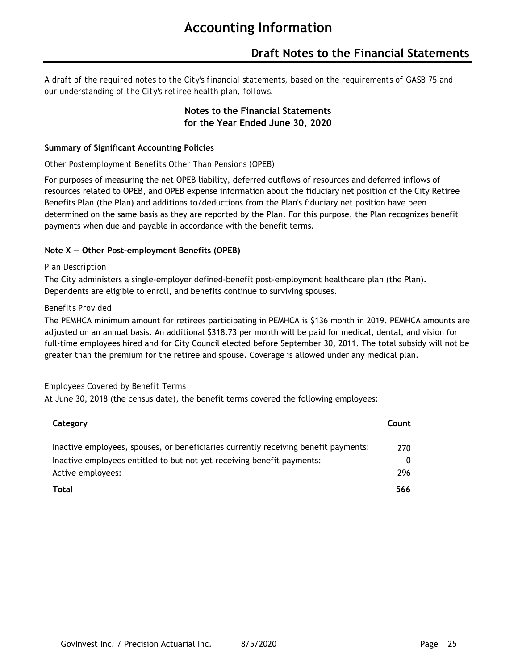### **Draft Notes to the Financial Statements**

*A draft of the required notes to the City's financial statements, based on the requirements of GASB 75 and our understanding of the City's retiree health plan, follows.*

#### **Notes to the Financial Statements for the Year Ended June 30, 2020**

#### **Summary of Significant Accounting Policies**

#### *Other Postemployment Benefits Other Than Pensions (OPEB)*

For purposes of measuring the net OPEB liability, deferred outflows of resources and deferred inflows of resources related to OPEB, and OPEB expense information about the fiduciary net position of the City Retiree Benefits Plan (the Plan) and additions to/deductions from the Plan's fiduciary net position have been determined on the same basis as they are reported by the Plan. For this purpose, the Plan recognizes benefit payments when due and payable in accordance with the benefit terms.

#### **Note X — Other Post-employment Benefits (OPEB)**

#### *Plan Description*

The City administers a single-employer defined-benefit post-employment healthcare plan (the Plan). Dependents are eligible to enroll, and benefits continue to surviving spouses.

#### *Benefits Provided*

The PEMHCA minimum amount for retirees participating in PEMHCA is \$136 month in 2019. PEMHCA amounts are adjusted on an annual basis. An additional \$318.73 per month will be paid for medical, dental, and vision for full-time employees hired and for City Council elected before September 30, 2011. The total subsidy will not be greater than the premium for the retiree and spouse. Coverage is allowed under any medical plan.

#### *Employees Covered by Benefit Terms*

At June 30, 2018 (the census date), the benefit terms covered the following employees:

| Category                                                                            | Count |
|-------------------------------------------------------------------------------------|-------|
| Inactive employees, spouses, or beneficiaries currently receiving benefit payments: | 270   |
| Inactive employees entitled to but not yet receiving benefit payments:              | 0     |
| Active employees:                                                                   | 296   |
| <b>Total</b>                                                                        | 566   |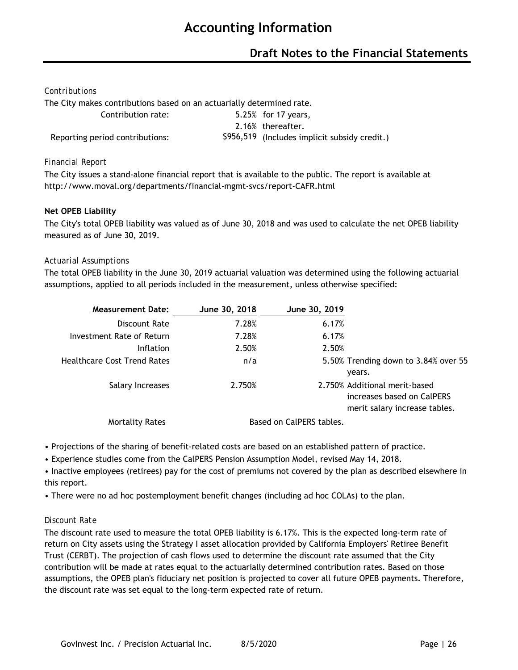### **Draft Notes to the Financial Statements**

#### *Contributions*

The City makes contributions based on an actuarially determined rate.

| Contribution rate:              | 5.25% for 17 years,                           |
|---------------------------------|-----------------------------------------------|
|                                 | 2.16% thereafter.                             |
| Reporting period contributions: | \$956,519 (Includes implicit subsidy credit.) |

#### *Financial Report*

The City issues a stand-alone financial report that is available to the public. The report is available at http://www.moval.org/departments/financial-mgmt-svcs/report-CAFR.html

#### **Net OPEB Liability**

The City's total OPEB liability was valued as of June 30, 2018 and was used to calculate the net OPEB liability measured as of June 30, 2019.

#### *Actuarial Assumptions*

The total OPEB liability in the June 30, 2019 actuarial valuation was determined using the following actuarial assumptions, applied to all periods included in the measurement, unless otherwise specified:

| <b>Measurement Date:</b>           | June 30, 2018 | June 30, 2019            |                                                                                              |
|------------------------------------|---------------|--------------------------|----------------------------------------------------------------------------------------------|
| Discount Rate                      | 7.28%         | 6.17%                    |                                                                                              |
| Investment Rate of Return          | 7.28%         | 6.17%                    |                                                                                              |
| <b>Inflation</b>                   | 2.50%         | 2.50%                    |                                                                                              |
| <b>Healthcare Cost Trend Rates</b> | n/a           |                          | 5.50% Trending down to 3.84% over 55                                                         |
|                                    |               |                          | vears.                                                                                       |
| Salary Increases                   | 2.750%        |                          | 2.750% Additional merit-based<br>increases based on CalPERS<br>merit salary increase tables. |
| Mortality Rates                    |               | Based on CalPERS tables. |                                                                                              |

• Projections of the sharing of benefit-related costs are based on an established pattern of practice.

• Experience studies come from the CalPERS Pension Assumption Model, revised May 14, 2018.

• Inactive employees (retirees) pay for the cost of premiums not covered by the plan as described elsewhere in this report.

• There were no ad hoc postemployment benefit changes (including ad hoc COLAs) to the plan.

#### *Discount Rate*

The discount rate used to measure the total OPEB liability is 6.17%. This is the expected long-term rate of return on City assets using the Strategy I asset allocation provided by California Employers' Retiree Benefit Trust (CERBT). The projection of cash flows used to determine the discount rate assumed that the City contribution will be made at rates equal to the actuarially determined contribution rates. Based on those assumptions, the OPEB plan's fiduciary net position is projected to cover all future OPEB payments. Therefore, the discount rate was set equal to the long-term expected rate of return.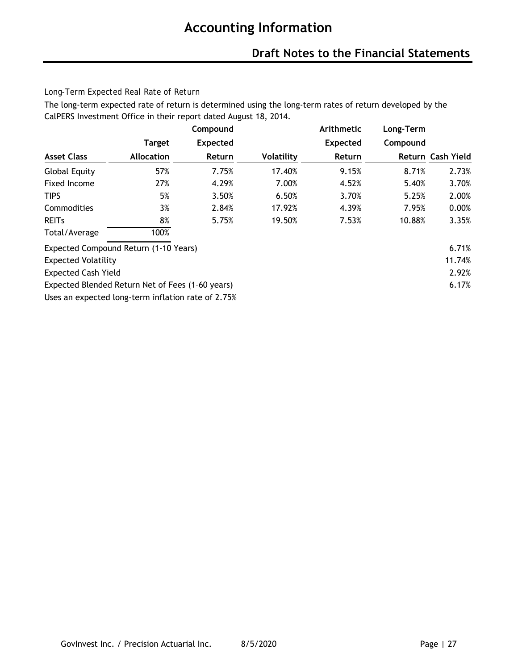### **Draft Notes to the Financial Statements**

#### *Long-Term Expected Real Rate of Return*

The long-term expected rate of return is determined using the long-term rates of return developed by the CalPERS Investment Office in their report dated August 18, 2014.

|                                                    |                   | Compound        |            | Arithmetic      | Long-Term |                   |
|----------------------------------------------------|-------------------|-----------------|------------|-----------------|-----------|-------------------|
|                                                    | <b>Target</b>     | <b>Expected</b> |            | <b>Expected</b> | Compound  |                   |
| <b>Asset Class</b>                                 | <b>Allocation</b> | Return          | Volatility | Return          |           | Return Cash Yield |
| <b>Global Equity</b>                               | 57%               | 7.75%           | 17.40%     | 9.15%           | 8.71%     | 2.73%             |
| Fixed Income                                       | 27%               | 4.29%           | 7.00%      | 4.52%           | 5.40%     | 3.70%             |
| <b>TIPS</b>                                        | 5%                | 3.50%           | 6.50%      | 3.70%           | 5.25%     | 2.00%             |
| Commodities                                        | 3%                | 2.84%           | 17.92%     | 4.39%           | 7.95%     | 0.00%             |
| <b>REITS</b>                                       | 8%                | 5.75%           | 19.50%     | 7.53%           | 10.88%    | 3.35%             |
| Total/Average                                      | 100%              |                 |            |                 |           |                   |
| Expected Compound Return (1-10 Years)              |                   |                 |            |                 |           | 6.71%             |
| <b>Expected Volatility</b>                         |                   |                 |            |                 |           | 11.74%            |
| <b>Expected Cash Yield</b>                         |                   |                 |            |                 |           | 2.92%             |
| Expected Blended Return Net of Fees (1-60 years)   |                   |                 |            |                 |           | 6.17%             |
| Uses an expected long-term inflation rate of 2.75% |                   |                 |            |                 |           |                   |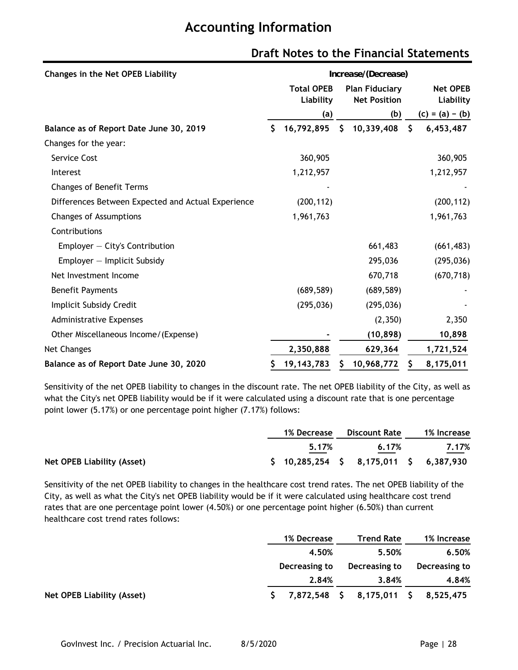| Changes in the Net OPEB Liability                  | Increase/(Decrease)                                                            |              |    |                              |    |                   |
|----------------------------------------------------|--------------------------------------------------------------------------------|--------------|----|------------------------------|----|-------------------|
|                                                    | <b>Total OPEB</b><br><b>Plan Fiduciary</b><br>Liability<br><b>Net Position</b> |              |    | <b>Net OPEB</b><br>Liability |    |                   |
|                                                    |                                                                                | (a)          |    | (b)                          |    | $(c) = (a) - (b)$ |
| Balance as of Report Date June 30, 2019            | \$                                                                             | 16,792,895   | \$ | 10,339,408                   | \$ | 6,453,487         |
| Changes for the year:                              |                                                                                |              |    |                              |    |                   |
| Service Cost                                       |                                                                                | 360,905      |    |                              |    | 360,905           |
| Interest                                           |                                                                                | 1,212,957    |    |                              |    | 1,212,957         |
| <b>Changes of Benefit Terms</b>                    |                                                                                |              |    |                              |    |                   |
| Differences Between Expected and Actual Experience |                                                                                | (200, 112)   |    |                              |    | (200, 112)        |
| Changes of Assumptions                             |                                                                                | 1,961,763    |    |                              |    | 1,961,763         |
| Contributions                                      |                                                                                |              |    |                              |    |                   |
| Employer $-$ City's Contribution                   |                                                                                |              |    | 661,483                      |    | (661, 483)        |
| Employer - Implicit Subsidy                        |                                                                                |              |    | 295,036                      |    | (295, 036)        |
| Net Investment Income                              |                                                                                |              |    | 670,718                      |    | (670, 718)        |
| <b>Benefit Payments</b>                            |                                                                                | (689, 589)   |    | (689, 589)                   |    |                   |
| Implicit Subsidy Credit                            |                                                                                | (295, 036)   |    | (295, 036)                   |    |                   |
| <b>Administrative Expenses</b>                     |                                                                                |              |    | (2,350)                      |    | 2,350             |
| Other Miscellaneous Income/(Expense)               |                                                                                |              |    | (10, 898)                    |    | 10,898            |
| Net Changes                                        |                                                                                | 2,350,888    |    | 629,364                      |    | 1,721,524         |
| Balance as of Report Date June 30, 2020            |                                                                                | 19, 143, 783 |    | 10,968,772                   | Ş  | 8,175,011         |

### **Draft Notes to the Financial Statements**

Sensitivity of the net OPEB liability to changes in the discount rate. The net OPEB liability of the City, as well as what the City's net OPEB liability would be if it were calculated using a discount rate that is one percentage point lower (5.17%) or one percentage point higher (7.17%) follows:

|                                         |  | 1% Decrease | Discount Rate                                   | 1% Increase |
|-----------------------------------------|--|-------------|-------------------------------------------------|-------------|
| 5.17%<br>and the control of the control |  | 6.17%       | 7.17%                                           |             |
| Net OPEB Liability (Asset)              |  |             | $$10,285,254 \quad $8,175,011 \quad $6,387,930$ |             |

Sensitivity of the net OPEB liability to changes in the healthcare cost trend rates. The net OPEB liability of the City, as well as what the City's net OPEB liability would be if it were calculated using healthcare cost trend rates that are one percentage point lower (4.50%) or one percentage point higher (6.50%) than current healthcare cost trend rates follows:

|                            | 1% Decrease   |  | <b>Trend Rate</b>                   |  | 1% Increase   |
|----------------------------|---------------|--|-------------------------------------|--|---------------|
|                            | 4.50%         |  | 5.50%                               |  | 6.50%         |
|                            | Decreasing to |  | Decreasing to                       |  | Decreasing to |
|                            | 2.84%         |  | 3.84%                               |  | 4.84%         |
| Net OPEB Liability (Asset) |               |  | 7,872,548 \$ 8,175,011 \$ 8,525,475 |  |               |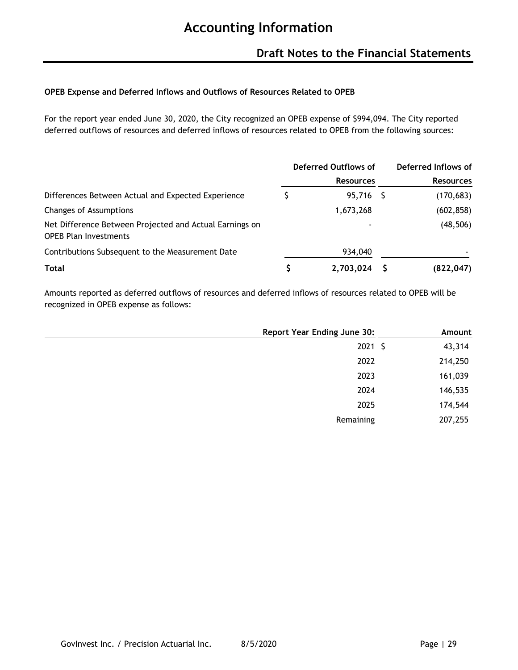#### **OPEB Expense and Deferred Inflows and Outflows of Resources Related to OPEB**

For the report year ended June 30, 2020, the City recognized an OPEB expense of \$994,094. The City reported deferred outflows of resources and deferred inflows of resources related to OPEB from the following sources:

|                                                                                         | Deferred Outflows of |                          |  | Deferred Inflows of |
|-----------------------------------------------------------------------------------------|----------------------|--------------------------|--|---------------------|
|                                                                                         |                      | <b>Resources</b>         |  | <b>Resources</b>    |
| Differences Between Actual and Expected Experience                                      |                      | 95,716 \$                |  | (170, 683)          |
| Changes of Assumptions                                                                  |                      | 1,673,268                |  | (602, 858)          |
| Net Difference Between Projected and Actual Earnings on<br><b>OPEB Plan Investments</b> |                      | $\overline{\phantom{0}}$ |  | (48, 506)           |
| Contributions Subsequent to the Measurement Date                                        |                      | 934,040                  |  |                     |
| <b>Total</b>                                                                            | \$                   | 2,703,024                |  | (822, 047)          |

Amounts reported as deferred outflows of resources and deferred inflows of resources related to OPEB will be recognized in OPEB expense as follows:

| <b>Report Year Ending June 30:</b> | Amount  |
|------------------------------------|---------|
| $2021$ \$                          | 43,314  |
| 2022                               | 214,250 |
| 2023                               | 161,039 |
| 2024                               | 146,535 |
| 2025                               | 174,544 |
| Remaining                          | 207,255 |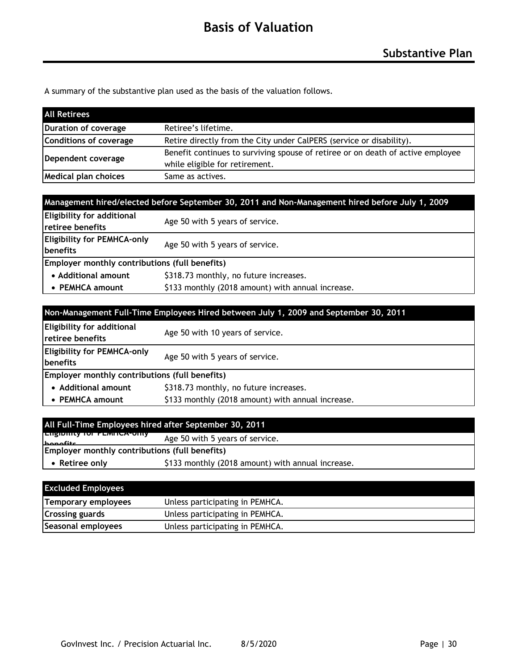A summary of the substantive plan used as the basis of the valuation follows.

| <b>All Retirees</b>         |                                                                                 |
|-----------------------------|---------------------------------------------------------------------------------|
| Duration of coverage        | Retiree's lifetime.                                                             |
| Conditions of coverage      | Retire directly from the City under CalPERS (service or disability).            |
| Dependent coverage          | Benefit continues to surviving spouse of retiree or on death of active employee |
|                             | while eligible for retirement.                                                  |
| <b>Medical plan choices</b> | Same as actives.                                                                |

|                                                        | Management hired/elected before September 30, 2011 and Non-Management hired before July 1, 2009 |  |
|--------------------------------------------------------|-------------------------------------------------------------------------------------------------|--|
| Eligibility for additional<br>retiree benefits         | Age 50 with 5 years of service.                                                                 |  |
| <b>Eligibility for PEMHCA-only</b><br><b>Ibenefits</b> | Age 50 with 5 years of service.                                                                 |  |
| Employer monthly contributions (full benefits)         |                                                                                                 |  |
| • Additional amount                                    | \$318.73 monthly, no future increases.                                                          |  |
| • PEMHCA amount                                        | \$133 monthly (2018 amount) with annual increase.                                               |  |

| Non-Management Full-Time Employees Hired between July 1, 2009 and September 30, 2011 |                                                   |  |
|--------------------------------------------------------------------------------------|---------------------------------------------------|--|
| Eligibility for additional<br><b>Iretiree benefits</b>                               | Age 50 with 10 years of service.                  |  |
| <b>Eligibility for PEMHCA-only</b><br>benefits                                       | Age 50 with 5 years of service.                   |  |
| Employer monthly contributions (full benefits)                                       |                                                   |  |
| • Additional amount                                                                  | \$318.73 monthly, no future increases.            |  |
| • PEMHCA amount                                                                      | \$133 monthly (2018 amount) with annual increase. |  |

| <b>EUSIDING TO FEMILA-ONY</b><br>Age 50 with 5 years of service.<br>$h$ anafita |                                                   |
|---------------------------------------------------------------------------------|---------------------------------------------------|
| Employer monthly contributions (full benefits)                                  |                                                   |
| • Retiree only                                                                  | \$133 monthly (2018 amount) with annual increase. |

| <b>Excluded Employees</b> |                                 |
|---------------------------|---------------------------------|
| Temporary employees       | Unless participating in PEMHCA. |
| <b>Crossing guards</b>    | Unless participating in PEMHCA. |
| Seasonal employees        | Unless participating in PEMHCA. |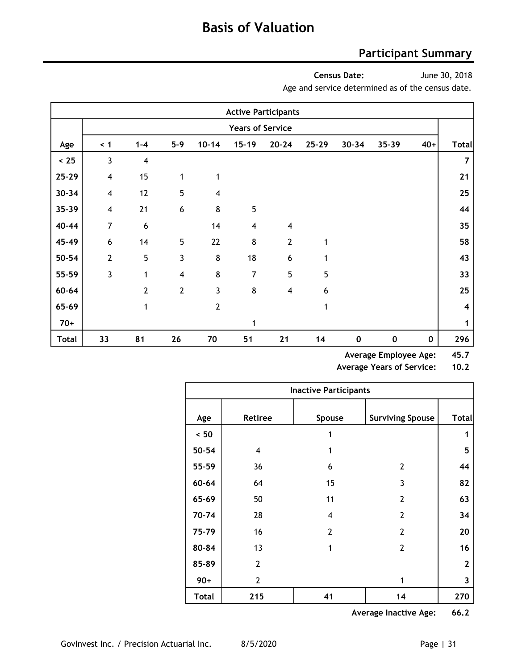### **Participant Summary**

**Census Date:**

June 30, 2018

Age and service determined as of the census date.

|           |                         |                |                  |                         |                         | <b>Active Participants</b> |           |           |           |             |                |
|-----------|-------------------------|----------------|------------------|-------------------------|-------------------------|----------------------------|-----------|-----------|-----------|-------------|----------------|
|           |                         |                |                  |                         | <b>Years of Service</b> |                            |           |           |           |             |                |
| Age       | $\leq 1$                | $1 - 4$        | $5 - 9$          | $10 - 14$               | $15 - 19$               | $20 - 24$                  | $25 - 29$ | $30 - 34$ | $35 - 39$ | $40+$       | <b>Total</b>   |
| < 25      | 3                       | $\overline{4}$ |                  |                         |                         |                            |           |           |           |             | $\overline{7}$ |
| $25 - 29$ | $\overline{\mathbf{4}}$ | 15             | 1                | 1                       |                         |                            |           |           |           |             | 21             |
| $30 - 34$ | $\overline{4}$          | 12             | 5                | $\overline{\mathbf{4}}$ |                         |                            |           |           |           |             | 25             |
| $35 - 39$ | $\overline{4}$          | 21             | $\boldsymbol{6}$ | 8                       | 5                       |                            |           |           |           |             | 44             |
| 40-44     | $\overline{7}$          | 6              |                  | 14                      | $\overline{\mathbf{4}}$ | $\overline{4}$             |           |           |           |             | 35             |
| 45-49     | $\boldsymbol{6}$        | 14             | 5                | 22                      | 8                       | $\overline{2}$             | 1         |           |           |             | 58             |
| $50 - 54$ | $\overline{2}$          | 5              | 3                | $\bf 8$                 | 18                      | 6                          | 1         |           |           |             | 43             |
| 55-59     | $\overline{3}$          | 1              | $\overline{4}$   | 8                       | 7                       | 5                          | 5         |           |           |             | 33             |
| $60 - 64$ |                         | $\overline{2}$ | $\overline{2}$   | 3                       | $\bf 8$                 | $\overline{4}$             | 6         |           |           |             | 25             |
| 65-69     |                         | 1              |                  | $\overline{2}$          |                         |                            | 1         |           |           |             | 4              |
| $70+$     |                         |                |                  |                         | 1                       |                            |           |           |           |             | 1              |
| Total     | 33                      | 81             | 26               | 70                      | 51                      | 21                         | 14        | $\pmb{0}$ | $\pmb{0}$ | $\mathbf 0$ | 296            |

**Average Employee Age: 45.7**

**Average Years of Service: 10.2**

|              |                | <b>Inactive Participants</b> |                         |              |
|--------------|----------------|------------------------------|-------------------------|--------------|
| Age          | <b>Retiree</b> | Spouse                       | <b>Surviving Spouse</b> | <b>Total</b> |
| ~< 50        |                | 1                            |                         | 1            |
| $50 - 54$    | $\overline{4}$ | 1                            |                         | 5            |
| 55-59        | 36             | 6                            | 2                       | 44           |
| $60 - 64$    | 64             | 15                           | 3                       | 82           |
| 65-69        | 50             | 11                           | 2                       | 63           |
| 70-74        | 28             | 4                            | $\overline{2}$          | 34           |
| 75-79        | 16             | $\overline{2}$               | $\overline{2}$          | 20           |
| 80-84        | 13             | 1                            | $\overline{2}$          | 16           |
| 85-89        | $\overline{2}$ |                              |                         | $\mathbf{2}$ |
| $90+$        | $\overline{2}$ |                              | 1                       | 3            |
| <b>Total</b> | 215            | 41                           | 14                      | 270          |

**Average Inactive Age: 66.2**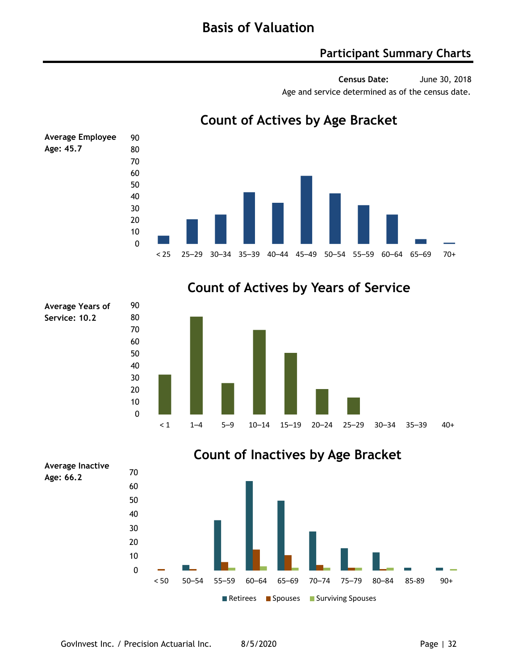### **Participant Summary Charts**

**Census Date:** June 30, 2018 Age and service determined as of the census date.



### **Count of Actives by Age Bracket**

**Count of Actives by Years of Service**





**Average Years of Service: 10.2**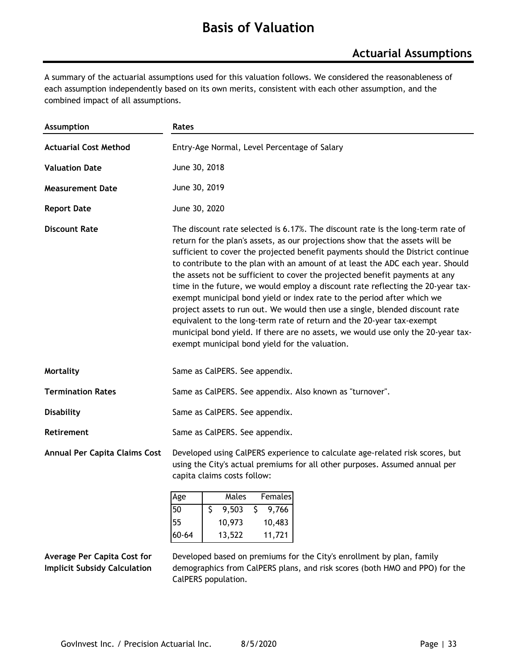# **Basis of Valuation**

A summary of the actuarial assumptions used for this valuation follows. We considered the reasonableness of each assumption independently based on its own merits, consistent with each other assumption, and the combined impact of all assumptions.

| <b>Assumption</b>             | Rates                                                                                                                                                                                                                                                                                                                                                                                                                                                                                                                                                                                                                                                                                                                                                                                                                                                                            |  |  |  |  |
|-------------------------------|----------------------------------------------------------------------------------------------------------------------------------------------------------------------------------------------------------------------------------------------------------------------------------------------------------------------------------------------------------------------------------------------------------------------------------------------------------------------------------------------------------------------------------------------------------------------------------------------------------------------------------------------------------------------------------------------------------------------------------------------------------------------------------------------------------------------------------------------------------------------------------|--|--|--|--|
| <b>Actuarial Cost Method</b>  | Entry-Age Normal, Level Percentage of Salary                                                                                                                                                                                                                                                                                                                                                                                                                                                                                                                                                                                                                                                                                                                                                                                                                                     |  |  |  |  |
| <b>Valuation Date</b>         | June 30, 2018                                                                                                                                                                                                                                                                                                                                                                                                                                                                                                                                                                                                                                                                                                                                                                                                                                                                    |  |  |  |  |
| <b>Measurement Date</b>       | June 30, 2019                                                                                                                                                                                                                                                                                                                                                                                                                                                                                                                                                                                                                                                                                                                                                                                                                                                                    |  |  |  |  |
| <b>Report Date</b>            | June 30, 2020                                                                                                                                                                                                                                                                                                                                                                                                                                                                                                                                                                                                                                                                                                                                                                                                                                                                    |  |  |  |  |
| <b>Discount Rate</b>          | The discount rate selected is 6.17%. The discount rate is the long-term rate of<br>return for the plan's assets, as our projections show that the assets will be<br>sufficient to cover the projected benefit payments should the District continue<br>to contribute to the plan with an amount of at least the ADC each year. Should<br>the assets not be sufficient to cover the projected benefit payments at any<br>time in the future, we would employ a discount rate reflecting the 20-year tax-<br>exempt municipal bond yield or index rate to the period after which we<br>project assets to run out. We would then use a single, blended discount rate<br>equivalent to the long-term rate of return and the 20-year tax-exempt<br>municipal bond yield. If there are no assets, we would use only the 20-year tax-<br>exempt municipal bond yield for the valuation. |  |  |  |  |
| Mortality                     | Same as CalPERS. See appendix.                                                                                                                                                                                                                                                                                                                                                                                                                                                                                                                                                                                                                                                                                                                                                                                                                                                   |  |  |  |  |
| <b>Termination Rates</b>      | Same as CalPERS. See appendix. Also known as "turnover".                                                                                                                                                                                                                                                                                                                                                                                                                                                                                                                                                                                                                                                                                                                                                                                                                         |  |  |  |  |
| <b>Disability</b>             | Same as CalPERS. See appendix.                                                                                                                                                                                                                                                                                                                                                                                                                                                                                                                                                                                                                                                                                                                                                                                                                                                   |  |  |  |  |
| <b>Retirement</b>             | Same as CalPERS. See appendix.                                                                                                                                                                                                                                                                                                                                                                                                                                                                                                                                                                                                                                                                                                                                                                                                                                                   |  |  |  |  |
| Annual Per Capita Claims Cost | Developed using CalPERS experience to calculate age-related risk scores, but<br>using the City's actual premiums for all other purposes. Assumed annual per<br>capita claims costs follow:                                                                                                                                                                                                                                                                                                                                                                                                                                                                                                                                                                                                                                                                                       |  |  |  |  |
|                               | Males<br>Females<br>Age<br>50<br>9,503<br>9,766<br>\$<br>S.                                                                                                                                                                                                                                                                                                                                                                                                                                                                                                                                                                                                                                                                                                                                                                                                                      |  |  |  |  |
|                               | 55<br>10,973<br>10,483                                                                                                                                                                                                                                                                                                                                                                                                                                                                                                                                                                                                                                                                                                                                                                                                                                                           |  |  |  |  |
|                               | 60-64<br>13,522<br>11,721                                                                                                                                                                                                                                                                                                                                                                                                                                                                                                                                                                                                                                                                                                                                                                                                                                                        |  |  |  |  |

**Average Per Capita Cost for Implicit Subsidy Calculation** Developed based on premiums for the City's enrollment by plan, family demographics from CalPERS plans, and risk scores (both HMO and PPO) for the CalPERS population.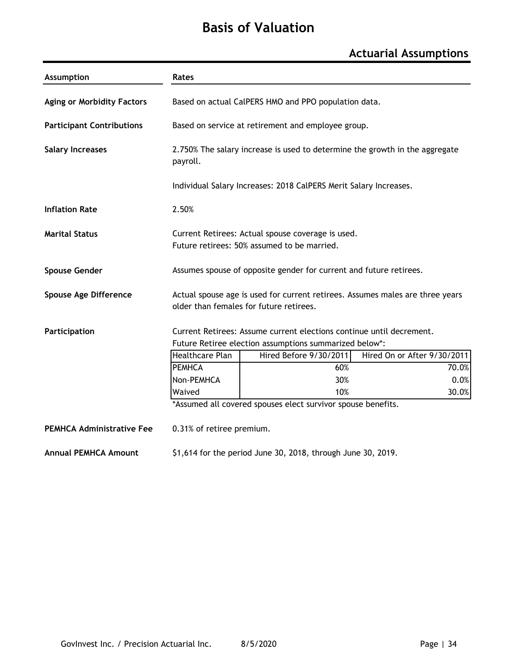# **Basis of Valuation**

### **Actuarial Assumptions**

| <b>Assumption</b>                 | <b>Rates</b>                                                                                                                   |                                                                                                                          |                             |  |  |
|-----------------------------------|--------------------------------------------------------------------------------------------------------------------------------|--------------------------------------------------------------------------------------------------------------------------|-----------------------------|--|--|
| <b>Aging or Morbidity Factors</b> | Based on actual CalPERS HMO and PPO population data.                                                                           |                                                                                                                          |                             |  |  |
| <b>Participant Contributions</b>  | Based on service at retirement and employee group.                                                                             |                                                                                                                          |                             |  |  |
| <b>Salary Increases</b>           | 2.750% The salary increase is used to determine the growth in the aggregate<br>payroll.                                        |                                                                                                                          |                             |  |  |
|                                   |                                                                                                                                | Individual Salary Increases: 2018 CalPERS Merit Salary Increases.                                                        |                             |  |  |
| <b>Inflation Rate</b>             | 2.50%                                                                                                                          |                                                                                                                          |                             |  |  |
| <b>Marital Status</b>             | Current Retirees: Actual spouse coverage is used.<br>Future retirees: 50% assumed to be married.                               |                                                                                                                          |                             |  |  |
| <b>Spouse Gender</b>              |                                                                                                                                | Assumes spouse of opposite gender for current and future retirees.                                                       |                             |  |  |
| Spouse Age Difference             |                                                                                                                                | Actual spouse age is used for current retirees. Assumes males are three years<br>older than females for future retirees. |                             |  |  |
| Participation                     | Current Retirees: Assume current elections continue until decrement.<br>Future Retiree election assumptions summarized below*: |                                                                                                                          |                             |  |  |
|                                   | <b>Healthcare Plan</b>                                                                                                         | Hired Before 9/30/2011                                                                                                   | Hired On or After 9/30/2011 |  |  |
|                                   | <b>PEMHCA</b>                                                                                                                  | 60%                                                                                                                      | 70.0%                       |  |  |
|                                   | Non-PEMHCA                                                                                                                     | 30%                                                                                                                      | 0.0%                        |  |  |
|                                   | Waived                                                                                                                         | 10%                                                                                                                      | 30.0%                       |  |  |
|                                   |                                                                                                                                | *Assumed all covered spouses elect survivor spouse benefits.                                                             |                             |  |  |
| <b>PEMHCA Administrative Fee</b>  | 0.31% of retiree premium.                                                                                                      |                                                                                                                          |                             |  |  |
| <b>Annual PEMHCA Amount</b>       |                                                                                                                                | \$1,614 for the period June 30, 2018, through June 30, 2019.                                                             |                             |  |  |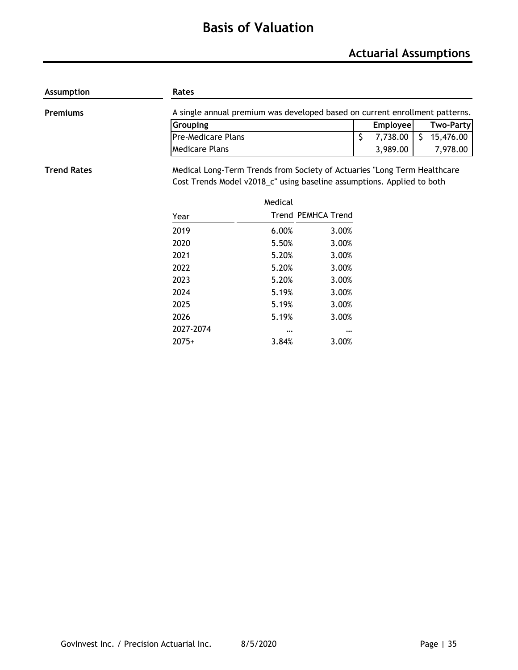# **Basis of Valuation**

| <b>Assumption</b>  | Rates                                                                    |                                                                             |                           |    |          |    |                  |  |
|--------------------|--------------------------------------------------------------------------|-----------------------------------------------------------------------------|---------------------------|----|----------|----|------------------|--|
| <b>Premiums</b>    |                                                                          | A single annual premium was developed based on current enrollment patterns. |                           |    |          |    |                  |  |
|                    | Grouping                                                                 |                                                                             |                           |    |          |    | <b>Two-Party</b> |  |
|                    | <b>Pre-Medicare Plans</b>                                                |                                                                             |                           | \$ | 7,738.00 | S. | 15,476.00        |  |
|                    | <b>Medicare Plans</b>                                                    |                                                                             |                           |    | 3,989.00 |    | 7,978.00         |  |
| <b>Trend Rates</b> | Medical Long-Term Trends from Society of Actuaries "Long Term Healthcare |                                                                             |                           |    |          |    |                  |  |
|                    | Cost Trends Model v2018_c" using baseline assumptions. Applied to both   |                                                                             |                           |    |          |    |                  |  |
|                    |                                                                          | Medical                                                                     |                           |    |          |    |                  |  |
|                    | Year                                                                     |                                                                             | <b>Trend PEMHCA Trend</b> |    |          |    |                  |  |
|                    | 2019                                                                     | 6.00%                                                                       | 3.00%                     |    |          |    |                  |  |
|                    | 2020                                                                     | 5.50%                                                                       | 3.00%                     |    |          |    |                  |  |
|                    | 2021                                                                     | 5.20%                                                                       | 3.00%                     |    |          |    |                  |  |
|                    | 2022                                                                     | 5.20%                                                                       | 3.00%                     |    |          |    |                  |  |
|                    | 2023                                                                     | 5.20%                                                                       | 3.00%                     |    |          |    |                  |  |
|                    | 2024                                                                     | 5.19%                                                                       | 3.00%                     |    |          |    |                  |  |
|                    | 2025                                                                     | 5.19%                                                                       | 3.00%                     |    |          |    |                  |  |
|                    | 2026                                                                     | 5.19%                                                                       | 3.00%                     |    |          |    |                  |  |
|                    | 2027-2074                                                                | $\cdots$                                                                    | $\cdots$                  |    |          |    |                  |  |
|                    | $2075+$                                                                  | 3.84%                                                                       | 3.00%                     |    |          |    |                  |  |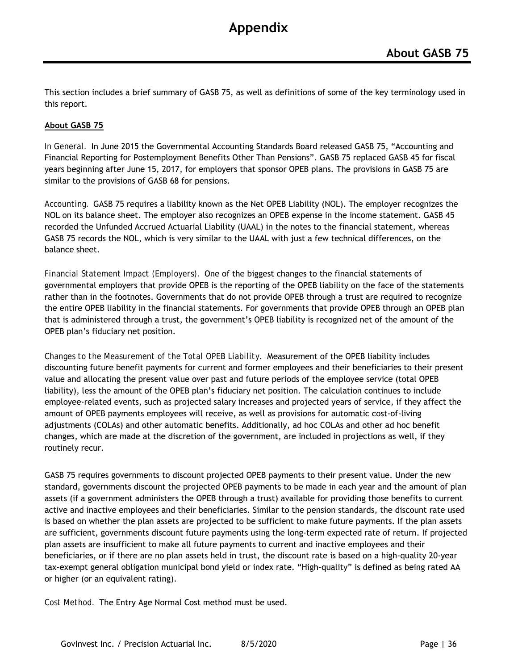This section includes a brief summary of GASB 75, as well as definitions of some of the key terminology used in this report.

#### **About GASB 75**

*In General.* In June 2015 the Governmental Accounting Standards Board released GASB 75, "Accounting and Financial Reporting for Postemployment Benefits Other Than Pensions". GASB 75 replaced GASB 45 for fiscal years beginning after June 15, 2017, for employers that sponsor OPEB plans. The provisions in GASB 75 are similar to the provisions of GASB 68 for pensions.

*Accounting.* GASB 75 requires a liability known as the Net OPEB Liability (NOL). The employer recognizes the NOL on its balance sheet. The employer also recognizes an OPEB expense in the income statement. GASB 45 recorded the Unfunded Accrued Actuarial Liability (UAAL) in the notes to the financial statement, whereas GASB 75 records the NOL, which is very similar to the UAAL with just a few technical differences, on the balance sheet.

*Financial Statement Impact (Employers).* One of the biggest changes to the financial statements of governmental employers that provide OPEB is the reporting of the OPEB liability on the face of the statements rather than in the footnotes. Governments that do not provide OPEB through a trust are required to recognize the entire OPEB liability in the financial statements. For governments that provide OPEB through an OPEB plan that is administered through a trust, the government's OPEB liability is recognized net of the amount of the OPEB plan's fiduciary net position.

*Changes to the Measurement of the Total OPEB Liability.* Measurement of the OPEB liability includes discounting future benefit payments for current and former employees and their beneficiaries to their present value and allocating the present value over past and future periods of the employee service (total OPEB liability), less the amount of the OPEB plan's fiduciary net position. The calculation continues to include employee-related events, such as projected salary increases and projected years of service, if they affect the amount of OPEB payments employees will receive, as well as provisions for automatic cost-of-living adjustments (COLAs) and other automatic benefits. Additionally, ad hoc COLAs and other ad hoc benefit changes, which are made at the discretion of the government, are included in projections as well, if they routinely recur.

GASB 75 requires governments to discount projected OPEB payments to their present value. Under the new standard, governments discount the projected OPEB payments to be made in each year and the amount of plan assets (if a government administers the OPEB through a trust) available for providing those benefits to current active and inactive employees and their beneficiaries. Similar to the pension standards, the discount rate used is based on whether the plan assets are projected to be sufficient to make future payments. If the plan assets are sufficient, governments discount future payments using the long-term expected rate of return. If projected plan assets are insufficient to make all future payments to current and inactive employees and their beneficiaries, or if there are no plan assets held in trust, the discount rate is based on a high-quality 20-year tax-exempt general obligation municipal bond yield or index rate. "High-quality" is defined as being rated AA or higher (or an equivalent rating).

*Cost Method.* The Entry Age Normal Cost method must be used.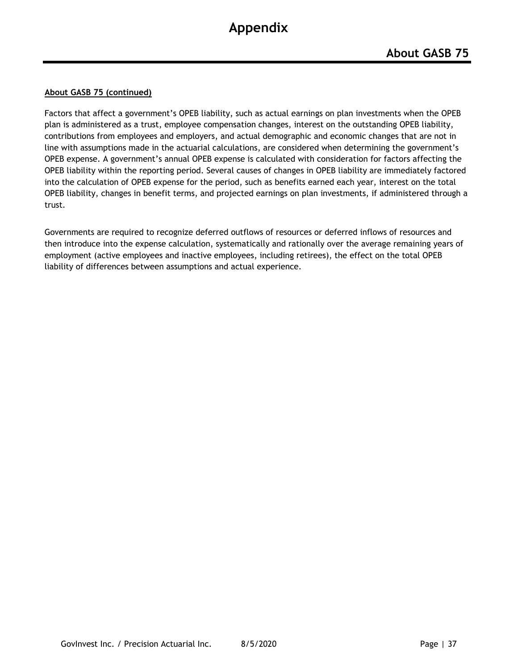#### **About GASB 75 (continued)**

Factors that affect a government's OPEB liability, such as actual earnings on plan investments when the OPEB plan is administered as a trust, employee compensation changes, interest on the outstanding OPEB liability, contributions from employees and employers, and actual demographic and economic changes that are not in line with assumptions made in the actuarial calculations, are considered when determining the government's OPEB expense. A government's annual OPEB expense is calculated with consideration for factors affecting the OPEB liability within the reporting period. Several causes of changes in OPEB liability are immediately factored into the calculation of OPEB expense for the period, such as benefits earned each year, interest on the total OPEB liability, changes in benefit terms, and projected earnings on plan investments, if administered through a trust.

Governments are required to recognize deferred outflows of resources or deferred inflows of resources and then introduce into the expense calculation, systematically and rationally over the average remaining years of employment (active employees and inactive employees, including retirees), the effect on the total OPEB liability of differences between assumptions and actual experience.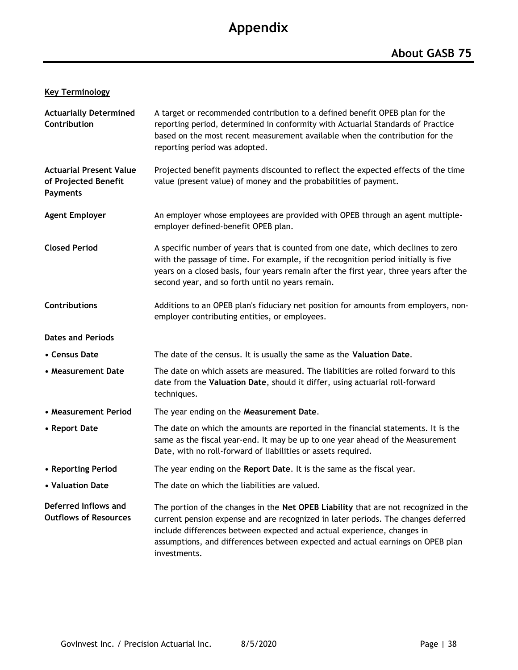### **Key Terminology**

| <b>Actuarially Determined</b><br>Contribution                             | A target or recommended contribution to a defined benefit OPEB plan for the<br>reporting period, determined in conformity with Actuarial Standards of Practice<br>based on the most recent measurement available when the contribution for the<br>reporting period was adopted.                                                                      |
|---------------------------------------------------------------------------|------------------------------------------------------------------------------------------------------------------------------------------------------------------------------------------------------------------------------------------------------------------------------------------------------------------------------------------------------|
| <b>Actuarial Present Value</b><br>of Projected Benefit<br><b>Payments</b> | Projected benefit payments discounted to reflect the expected effects of the time<br>value (present value) of money and the probabilities of payment.                                                                                                                                                                                                |
| <b>Agent Employer</b>                                                     | An employer whose employees are provided with OPEB through an agent multiple-<br>employer defined-benefit OPEB plan.                                                                                                                                                                                                                                 |
| <b>Closed Period</b>                                                      | A specific number of years that is counted from one date, which declines to zero<br>with the passage of time. For example, if the recognition period initially is five<br>years on a closed basis, four years remain after the first year, three years after the<br>second year, and so forth until no years remain.                                 |
| <b>Contributions</b>                                                      | Additions to an OPEB plan's fiduciary net position for amounts from employers, non-<br>employer contributing entities, or employees.                                                                                                                                                                                                                 |
| <b>Dates and Periods</b>                                                  |                                                                                                                                                                                                                                                                                                                                                      |
| • Census Date                                                             | The date of the census. It is usually the same as the Valuation Date.                                                                                                                                                                                                                                                                                |
| • Measurement Date                                                        | The date on which assets are measured. The liabilities are rolled forward to this<br>date from the Valuation Date, should it differ, using actuarial roll-forward<br>techniques.                                                                                                                                                                     |
| • Measurement Period                                                      | The year ending on the Measurement Date.                                                                                                                                                                                                                                                                                                             |
| • Report Date                                                             | The date on which the amounts are reported in the financial statements. It is the<br>same as the fiscal year-end. It may be up to one year ahead of the Measurement<br>Date, with no roll-forward of liabilities or assets required.                                                                                                                 |
| • Reporting Period                                                        | The year ending on the Report Date. It is the same as the fiscal year.                                                                                                                                                                                                                                                                               |
| • Valuation Date                                                          | The date on which the liabilities are valued.                                                                                                                                                                                                                                                                                                        |
| Deferred Inflows and<br><b>Outflows of Resources</b>                      | The portion of the changes in the Net OPEB Liability that are not recognized in the<br>current pension expense and are recognized in later periods. The changes deferred<br>include differences between expected and actual experience, changes in<br>assumptions, and differences between expected and actual earnings on OPEB plan<br>investments. |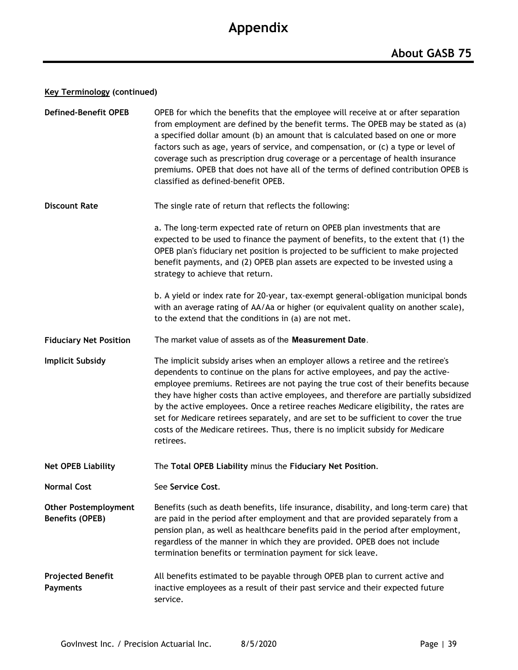#### **Key Terminology (continued)**

| <b>Defined-Benefit OPEB</b>                    | OPEB for which the benefits that the employee will receive at or after separation<br>from employment are defined by the benefit terms. The OPEB may be stated as (a)<br>a specified dollar amount (b) an amount that is calculated based on one or more<br>factors such as age, years of service, and compensation, or (c) a type or level of<br>coverage such as prescription drug coverage or a percentage of health insurance<br>premiums. OPEB that does not have all of the terms of defined contribution OPEB is<br>classified as defined-benefit OPEB.                                                                 |
|------------------------------------------------|-------------------------------------------------------------------------------------------------------------------------------------------------------------------------------------------------------------------------------------------------------------------------------------------------------------------------------------------------------------------------------------------------------------------------------------------------------------------------------------------------------------------------------------------------------------------------------------------------------------------------------|
| <b>Discount Rate</b>                           | The single rate of return that reflects the following:                                                                                                                                                                                                                                                                                                                                                                                                                                                                                                                                                                        |
|                                                | a. The long-term expected rate of return on OPEB plan investments that are<br>expected to be used to finance the payment of benefits, to the extent that (1) the<br>OPEB plan's fiduciary net position is projected to be sufficient to make projected<br>benefit payments, and (2) OPEB plan assets are expected to be invested using a<br>strategy to achieve that return.                                                                                                                                                                                                                                                  |
|                                                | b. A yield or index rate for 20-year, tax-exempt general-obligation municipal bonds<br>with an average rating of AA/Aa or higher (or equivalent quality on another scale),<br>to the extend that the conditions in (a) are not met.                                                                                                                                                                                                                                                                                                                                                                                           |
| <b>Fiduciary Net Position</b>                  | The market value of assets as of the Measurement Date.                                                                                                                                                                                                                                                                                                                                                                                                                                                                                                                                                                        |
| <b>Implicit Subsidy</b>                        | The implicit subsidy arises when an employer allows a retiree and the retiree's<br>dependents to continue on the plans for active employees, and pay the active-<br>employee premiums. Retirees are not paying the true cost of their benefits because<br>they have higher costs than active employees, and therefore are partially subsidized<br>by the active employees. Once a retiree reaches Medicare eligibility, the rates are<br>set for Medicare retirees separately, and are set to be sufficient to cover the true<br>costs of the Medicare retirees. Thus, there is no implicit subsidy for Medicare<br>retirees. |
| <b>Net OPEB Liability</b>                      | The Total OPEB Liability minus the Fiduciary Net Position.                                                                                                                                                                                                                                                                                                                                                                                                                                                                                                                                                                    |
| <b>Normal Cost</b>                             | See Service Cost.                                                                                                                                                                                                                                                                                                                                                                                                                                                                                                                                                                                                             |
| <b>Other Postemployment</b><br>Benefits (OPEB) | Benefits (such as death benefits, life insurance, disability, and long-term care) that<br>are paid in the period after employment and that are provided separately from a<br>pension plan, as well as healthcare benefits paid in the period after employment,<br>regardless of the manner in which they are provided. OPEB does not include<br>termination benefits or termination payment for sick leave.                                                                                                                                                                                                                   |
| <b>Projected Benefit</b><br><b>Payments</b>    | All benefits estimated to be payable through OPEB plan to current active and<br>inactive employees as a result of their past service and their expected future<br>service.                                                                                                                                                                                                                                                                                                                                                                                                                                                    |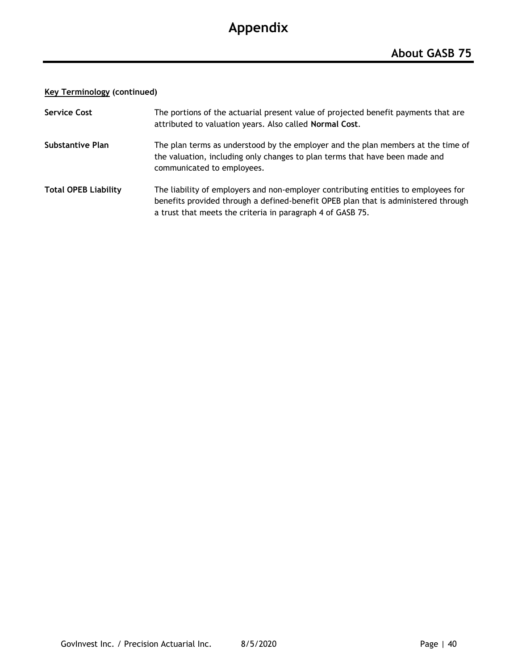#### **Key Terminology (continued)**

| <b>Service Cost</b>         | The portions of the actuarial present value of projected benefit payments that are<br>attributed to valuation years. Also called Normal Cost.                                                                                          |
|-----------------------------|----------------------------------------------------------------------------------------------------------------------------------------------------------------------------------------------------------------------------------------|
| Substantive Plan            | The plan terms as understood by the employer and the plan members at the time of<br>the valuation, including only changes to plan terms that have been made and<br>communicated to employees.                                          |
| <b>Total OPEB Liability</b> | The liability of employers and non-employer contributing entities to employees for<br>benefits provided through a defined-benefit OPEB plan that is administered through<br>a trust that meets the criteria in paragraph 4 of GASB 75. |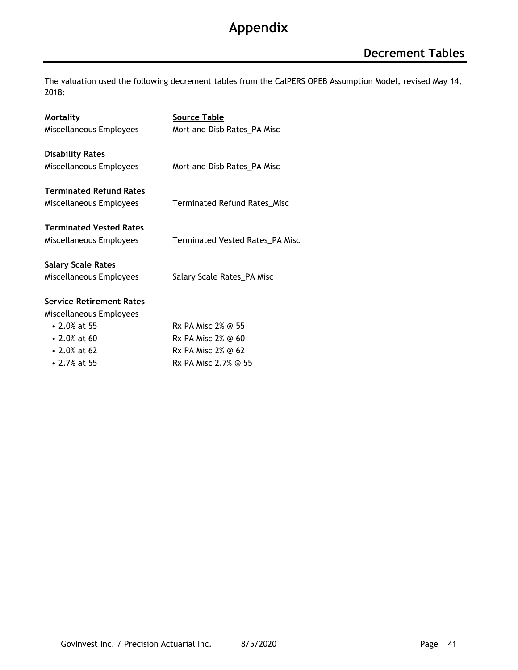The valuation used the following decrement tables from the CalPERS OPEB Assumption Model, revised May 14, 2018:

| <b>Mortality</b>                | <b>Source Table</b>                    |
|---------------------------------|----------------------------------------|
| Miscellaneous Employees         | Mort and Disb Rates_PA Misc            |
| <b>Disability Rates</b>         |                                        |
| Miscellaneous Employees         | Mort and Disb Rates_PA Misc            |
| <b>Terminated Refund Rates</b>  |                                        |
| Miscellaneous Employees         | <b>Terminated Refund Rates_Misc</b>    |
| <b>Terminated Vested Rates</b>  |                                        |
| Miscellaneous Employees         | <b>Terminated Vested Rates_PA Misc</b> |
| <b>Salary Scale Rates</b>       |                                        |
| Miscellaneous Employees         | Salary Scale Rates_PA Misc             |
| <b>Service Retirement Rates</b> |                                        |
| Miscellaneous Employees         |                                        |
| $\cdot$ 2.0% at 55              | Rx PA Misc 2% @ 55                     |
| $\cdot$ 2.0% at 60              | Rx PA Misc $2\%$ @ 60                  |
| • 2.0% at 62                    | Rx PA Misc $2\%$ @ 62                  |
| • 2.7% at 55                    | Rx PA Misc 2.7% @ 55                   |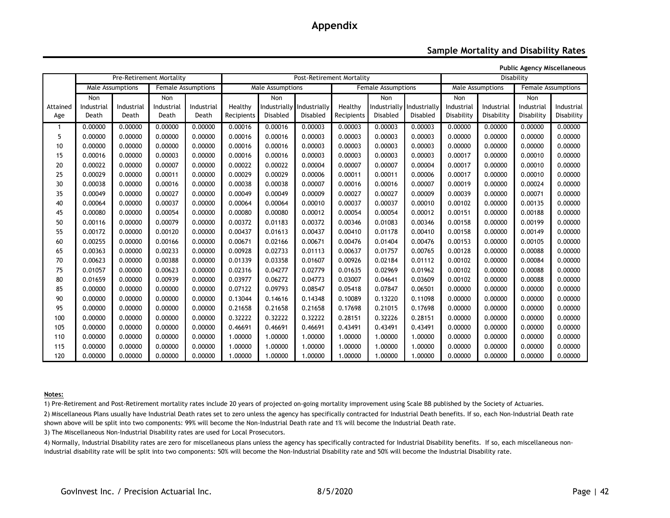#### **Sample Mortality and Disability Rates**

**Public Agency Miscellaneous**

|          |            |                  | Pre-Retirement Mortality |                           | Post-Retirement Mortality |                  |                           |            |                           | Disability |            |                  |            |                    |
|----------|------------|------------------|--------------------------|---------------------------|---------------------------|------------------|---------------------------|------------|---------------------------|------------|------------|------------------|------------|--------------------|
|          |            | Male Assumptions |                          | <b>Female Assumptions</b> |                           | Male Assumptions |                           |            | <b>Female Assumptions</b> |            |            | Male Assumptions |            | Female Assumptions |
|          | Non        |                  | Non                      |                           |                           | Non              |                           |            | <b>Non</b>                |            | Non        |                  | Non        |                    |
| Attained | Industrial | Industrial       | Industrial               | Industrial                | Healthy                   |                  | Industrially Industrially | Healthy    | Industrially Industrially |            | Industrial | Industrial       | Industrial | Industrial         |
| Age      | Death      | Death            | Death                    | Death                     | Recipients                | <b>Disabled</b>  | Disabled                  | Recipients | Disabled                  | Disabled   | Disability | Disability       | Disability | Disability         |
|          | 0.00000    | 0.00000          | 0.00000                  | 0.00000                   | 0.00016                   | 0.00016          | 0.00003                   | 0.00003    | 0.00003                   | 0.00003    | 0.00000    | 0.00000          | 0.00000    | 0.00000            |
| 5        | 0.00000    | 0.00000          | 0.00000                  | 0.00000                   | 0.00016                   | 0.00016          | 0.00003                   | 0.00003    | 0.00003                   | 0.00003    | 0.00000    | 0.00000          | 0.00000    | 0.00000            |
| 10       | 0.00000    | 0.00000          | 0.00000                  | 0.00000                   | 0.00016                   | 0.00016          | 0.00003                   | 0.00003    | 0.00003                   | 0.00003    | 0.00000    | 0.00000          | 0.00000    | 0.00000            |
| 15       | 0.00016    | 0.00000          | 0.00003                  | 0.00000                   | 0.00016                   | 0.00016          | 0.00003                   | 0.00003    | 0.00003                   | 0.00003    | 0.00017    | 0.00000          | 0.00010    | 0.00000            |
| 20       | 0.00022    | 0.00000          | 0.00007                  | 0.00000                   | 0.00022                   | 0.00022          | 0.00004                   | 0.00007    | 0.00007                   | 0.00004    | 0.00017    | 0.00000          | 0.00010    | 0.00000            |
| 25       | 0.00029    | 0.00000          | 0.00011                  | 0.00000                   | 0.00029                   | 0.00029          | 0.00006                   | 0.00011    | 0.00011                   | 0.00006    | 0.00017    | 0.00000          | 0.00010    | 0.00000            |
| 30       | 0.00038    | 0.00000          | 0.00016                  | 0.00000                   | 0.00038                   | 0.00038          | 0.00007                   | 0.00016    | 0.00016                   | 0.00007    | 0.00019    | 0.00000          | 0.00024    | 0.00000            |
| 35       | 0.00049    | 0.00000          | 0.00027                  | 0.00000                   | 0.00049                   | 0.00049          | 0.00009                   | 0.00027    | 0.00027                   | 0.00009    | 0.00039    | 0.00000          | 0.00071    | 0.00000            |
| 40       | 0.00064    | 0.00000          | 0.00037                  | 0.00000                   | 0.00064                   | 0.00064          | 0.00010                   | 0.00037    | 0.00037                   | 0.00010    | 0.00102    | 0.00000          | 0.00135    | 0.00000            |
| 45       | 0.00080    | 0.00000          | 0.00054                  | 0.00000                   | 0.00080                   | 0.00080          | 0.00012                   | 0.00054    | 0.00054                   | 0.00012    | 0.00151    | 0.00000          | 0.00188    | 0.00000            |
| 50       | 0.00116    | 0.00000          | 0.00079                  | 0.00000                   | 0.00372                   | 0.01183          | 0.00372                   | 0.00346    | 0.01083                   | 0.00346    | 0.00158    | 0.00000          | 0.00199    | 0.00000            |
| 55       | 0.00172    | 0.00000          | 0.00120                  | 0.00000                   | 0.00437                   | 0.01613          | 0.00437                   | 0.00410    | 0.01178                   | 0.00410    | 0.00158    | 0.00000          | 0.00149    | 0.00000            |
| 60       | 0.00255    | 0.00000          | 0.00166                  | 0.00000                   | 0.00671                   | 0.02166          | 0.00671                   | 0.00476    | 0.01404                   | 0.00476    | 0.00153    | 0.00000          | 0.00105    | 0.00000            |
| 65       | 0.00363    | 0.00000          | 0.00233                  | 0.00000                   | 0.00928                   | 0.02733          | 0.01113                   | 0.00637    | 0.01757                   | 0.00765    | 0.00128    | 0.00000          | 0.00088    | 0.00000            |
| 70       | 0.00623    | 0.00000          | 0.00388                  | 0.00000                   | 0.01339                   | 0.03358          | 0.01607                   | 0.00926    | 0.02184                   | 0.01112    | 0.00102    | 0.00000          | 0.00084    | 0.00000            |
| 75       | 0.01057    | 0.00000          | 0.00623                  | 0.00000                   | 0.02316                   | 0.04277          | 0.02779                   | 0.01635    | 0.02969                   | 0.01962    | 0.00102    | 0.00000          | 0.00088    | 0.00000            |
| 80       | 0.01659    | 0.00000          | 0.00939                  | 0.00000                   | 0.03977                   | 0.06272          | 0.04773                   | 0.03007    | 0.04641                   | 0.03609    | 0.00102    | 0.00000          | 0.00088    | 0.00000            |
| 85       | 0.00000    | 0.00000          | 0.00000                  | 0.00000                   | 0.07122                   | 0.09793          | 0.08547                   | 0.05418    | 0.07847                   | 0.06501    | 0.00000    | 0.00000          | 0.00000    | 0.00000            |
| 90       | 0.00000    | 0.00000          | 0.00000                  | 0.00000                   | 0.13044                   | 0.14616          | 0.14348                   | 0.10089    | 0.13220                   | 0.11098    | 0.00000    | 0.00000          | 0.00000    | 0.00000            |
| 95       | 0.00000    | 0.00000          | 0.00000                  | 0.00000                   | 0.21658                   | 0.21658          | 0.21658                   | 0.17698    | 0.21015                   | 0.17698    | 0.00000    | 0.00000          | 0.00000    | 0.00000            |
| 100      | 0.00000    | 0.00000          | 0.00000                  | 0.00000                   | 0.32222                   | 0.32222          | 0.32222                   | 0.28151    | 0.32226                   | 0.28151    | 0.00000    | 0.00000          | 0.00000    | 0.00000            |
| 105      | 0.00000    | 0.00000          | 0.00000                  | 0.00000                   | 0.46691                   | 0.46691          | 0.46691                   | 0.43491    | 0.43491                   | 0.43491    | 0.00000    | 0.00000          | 0.00000    | 0.00000            |
| 110      | 0.00000    | 0.00000          | 0.00000                  | 0.00000                   | 1.00000                   | 1.00000          | 1.00000                   | 1.00000    | 1.00000                   | 1.00000    | 0.00000    | 0.00000          | 0.00000    | 0.00000            |
| 115      | 0.00000    | 0.00000          | 0.00000                  | 0.00000                   | 1.00000                   | 1.00000          | 1.00000                   | 1.00000    | 1.00000                   | 1.00000    | 0.00000    | 0.00000          | 0.00000    | 0.00000            |
| 120      | 0.00000    | 0.00000          | 0.00000                  | 0.00000                   | 1.00000                   | 1.00000          | 1.00000                   | 1.00000    | 1.00000                   | 1.00000    | 0.00000    | 0.00000          | 0.00000    | 0.00000            |

#### **Notes:**

1) Pre-Retirement and Post-Retirement mortality rates include 20 years of projected on-going mortality improvement using Scale BB published by the Society of Actuaries.

2) Miscellaneous Plans usually have Industrial Death rates set to zero unless the agency has specifically contracted for Industrial Death benefits. If so, each Non-Industrial Death rate shown above will be split into two components: 99% will become the Non-Industrial Death rate and 1% will become the Industrial Death rate.

3) The Miscellaneous Non-Industrial Disability rates are used for Local Prosecutors.

4) Normally, Industrial Disability rates are zero for miscellaneous plans unless the agency has specifically contracted for Industrial Disability benefits. If so, each miscellaneous nonindustrial disability rate will be split into two components: 50% will become the Non-Industrial Disability rate and 50% will become the Industrial Disability rate.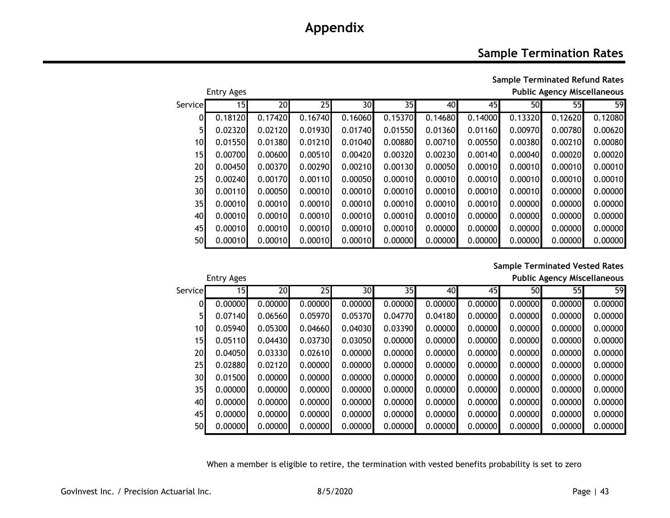### **Sample Termination Rates**

**Sample Terminated Refund Rates** Entry Ages **Public Agency Miscellaneous**

| Servicel        | 15 <sub>l</sub> | 20      | 25      | 30      | 35      | 40      | 45      | 50      | 55      | 59      |
|-----------------|-----------------|---------|---------|---------|---------|---------|---------|---------|---------|---------|
| ΩI              | 0.18120         | 0.17420 | 0.16740 | 0.16060 | 0.15370 | 0.14680 | 0.14000 | 0.13320 | 0.12620 | 0.12080 |
| 5 <sub>l</sub>  | 0.02320         | 0.02120 | 0.01930 | 0.01740 | 0.01550 | 0.01360 | 0.01160 | 0.00970 | 0.00780 | 0.00620 |
| 10 <sup>1</sup> | 0.01550         | 0.01380 | 0.01210 | 0.01040 | 0.00880 | 0.00710 | 0.00550 | 0.00380 | 0.00210 | 0.00080 |
| 15              | 0.00700         | 0.00600 | 0.00510 | 0.00420 | 0.00320 | 0.00230 | 0.00140 | 0.00040 | 0.00020 | 0.00020 |
| 20              | 0.00450         | 0.00370 | 0.00290 | 0.00210 | 0.00130 | 0.00050 | 0.00010 | 0.00010 | 0.00010 | 0.00010 |
| 25              | 0.00240         | 0.00170 | 0.00110 | 0.00050 | 0.00010 | 0.00010 | 0.00010 | 0.00010 | 0.00010 | 0.00010 |
| 30              | 0.00110         | 0.00050 | 0.00010 | 0.00010 | 0.00010 | 0.00010 | 0.00010 | 0.00010 | 0.00000 | 0.00000 |
| 35              | 0.00010         | 0.00010 | 0.00010 | 0.00010 | 0.00010 | 0.00010 | 0.00010 | 0.00000 | 0.00000 | 0.00000 |
| 40              | 0.00010         | 0.00010 | 0.00010 | 0.00010 | 0.00010 | 0.00010 | 0.00000 | 0.00000 | 0.00000 | 0.00000 |
| 45              | 0.00010         | 0.00010 | 0.00010 | 0.00010 | 0.00010 | 0.00000 | 0.00000 | 0.00000 | 0.00000 | 0.00000 |
| 50              | 0.00010         | 0.00010 | 0.00010 | 0.00010 | 0.00000 | 0.00000 | 0.00000 | 0.00000 | 0.00000 | 0.00000 |

#### **Sample Terminated Vested Rates**

Entry Ages **Public Agency Miscellaneous**

|                 | ----- <i>--</i> --- |         |                 |         |         |         |         |         | 1.451127147711555115115 |         |
|-----------------|---------------------|---------|-----------------|---------|---------|---------|---------|---------|-------------------------|---------|
| Service         | 15 <sub>l</sub>     | 20      | 25 <sub>l</sub> | 30      | 35I     | 40      | 45      | 50      | 55                      | 59      |
| 01              | 0.00000             | 0.00000 | 0.00000         | 0.00000 | 0.00000 | 0.00000 | 0.00000 | 0.00000 | 0.00000                 | 0.00000 |
| 51              | 0.07140             | 0.06560 | 0.05970         | 0.05370 | 0.04770 | 0.04180 | 0.00000 | 0.00000 | 0.00000                 | 0.00000 |
| 10              | 0.05940             | 0.05300 | 0.04660         | 0.04030 | 0.03390 | 0.00000 | 0.00000 | 0.00000 | 0.00000                 | 0.00000 |
| 15              | 0.05110             | 0.04430 | 0.03730         | 0.03050 | 0.00000 | 0.00000 | 0.00000 | 0.00000 | 0.00000                 | 0.00000 |
| 20 <sub>l</sub> | 0.04050             | 0.03330 | 0.02610         | 0.00000 | 0.00000 | 0.00000 | 0.00000 | 0.00000 | 0.00000                 | 0.00000 |
| 25              | 0.02880             | 0.02120 | 0.00000         | 0.00000 | 0.00000 | 0.00000 | 0.00000 | 0.00000 | 0.00000                 | 0.00000 |
| 30 <sup>l</sup> | 0.01500             | 0.00000 | 0.00000         | 0.00000 | 0.00000 | 0.00000 | 0.00000 | 0.00000 | 0.00000                 | 0.00000 |
| 35              | 0.00000             | 0.00000 | 0.00000         | 0.00000 | 0.00000 | 0.00000 | 0.00000 | 0.00000 | 0.00000                 | 0.00000 |
| 40              | 0.00000             | 0.00000 | 0.00000         | 0.00000 | 0.00000 | 0.00000 | 0.00000 | 0.00000 | 0.00000                 | 0.00000 |
| 45              | 0.00000             | 0.00000 | 0.00000         | 0.00000 | 0.00000 | 0.00000 | 0.00000 | 0.00000 | 0.00000                 | 0.00000 |
| <b>50</b>       | 0.00000             | 0.00000 | 0.00000         | 0.00000 | 0.00000 | 0.00000 | 0.00000 | 0.00000 | 0.00000                 | 0.00000 |

When a member is eligible to retire, the termination with vested benefits probability is set to zero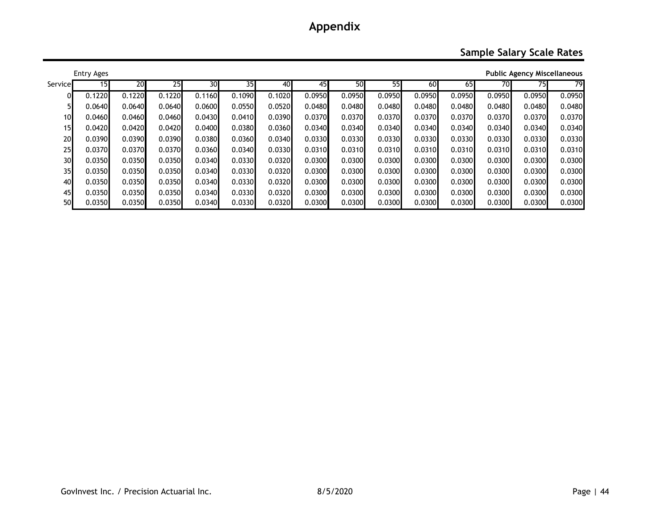### **Sample Salary Scale Rates**

|                 | Entry Ages |        |        |        |        |        |        |        |        |        |        |        | <b>Public Agency Miscellaneous</b> |        |
|-----------------|------------|--------|--------|--------|--------|--------|--------|--------|--------|--------|--------|--------|------------------------------------|--------|
| Service         | 15         | 20     | 25     | 30     | 35I    | 40     | 45     | 50     | 55     | 60     | 65     | 70     | 75I                                | 79     |
| 01              | 0.1220     | 0.1220 | 0.1220 | 0.1160 | 0.1090 | 0.1020 | 0.0950 | 0.0950 | 0.0950 | 0.0950 | 0.0950 | 0.0950 | 0.0950                             | 0.0950 |
|                 | 0.0640     | 0.0640 | 0.0640 | 0.0600 | 0.0550 | 0.0520 | 0.0480 | 0.0480 | 0.0480 | 0.0480 | 0.0480 | 0.0480 | 0.0480                             | 0.0480 |
| 10              | 0.0460     | 0.0460 | 0.0460 | 0.0430 | 0.0410 | 0.0390 | 0.0370 | 0.0370 | 0.0370 | 0.0370 | 0.0370 | 0.0370 | 0.0370                             | 0.0370 |
| 15              | 0.0420     | 0.0420 | 0.0420 | 0.0400 | 0.0380 | 0.0360 | 0.0340 | 0.0340 | 0.0340 | 0.0340 | 0.0340 | 0.0340 | 0.0340                             | 0.0340 |
| 20              | 0.0390     | 0.0390 | 0.0390 | 0.0380 | 0.0360 | 0.0340 | 0.0330 | 0.0330 | 0.0330 | 0.0330 | 0.0330 | 0.0330 | 0.0330                             | 0.0330 |
| 25              | 0.0370     | 0.0370 | 0.0370 | 0.0360 | 0.0340 | 0.0330 | 0.0310 | 0.0310 | 0.0310 | 0.0310 | 0.0310 | 0.0310 | 0.0310                             | 0.0310 |
| 30              | 0.0350     | 0.0350 | 0.0350 | 0.0340 | 0.0330 | 0.0320 | 0.0300 | 0.0300 | 0.0300 | 0.0300 | 0.0300 | 0.0300 | 0.0300                             | 0.0300 |
| 35 <sub>l</sub> | 0.0350     | 0.0350 | 0.0350 | 0.0340 | 0.0330 | 0.0320 | 0.0300 | 0.0300 | 0.0300 | 0.0300 | 0.0300 | 0.0300 | 0.0300                             | 0.0300 |
| 40              | 0.0350     | 0.0350 | 0.0350 | 0.0340 | 0.0330 | 0.0320 | 0.0300 | 0.0300 | 0.0300 | 0.0300 | 0.0300 | 0.0300 | 0.0300                             | 0.0300 |
| 45              | 0.0350     | 0.0350 | 0.0350 | 0.0340 | 0.0330 | 0.0320 | 0.0300 | 0.0300 | 0.0300 | 0.0300 | 0.0300 | 0.0300 | 0.0300                             | 0.0300 |
| 50              | 0.0350     | 0.0350 | 0.0350 | 0.0340 | 0.0330 | 0.0320 | 0.0300 | 0.0300 | 0.0300 | 0.0300 | 0.0300 | 0.0300 | 0.0300                             | 0.0300 |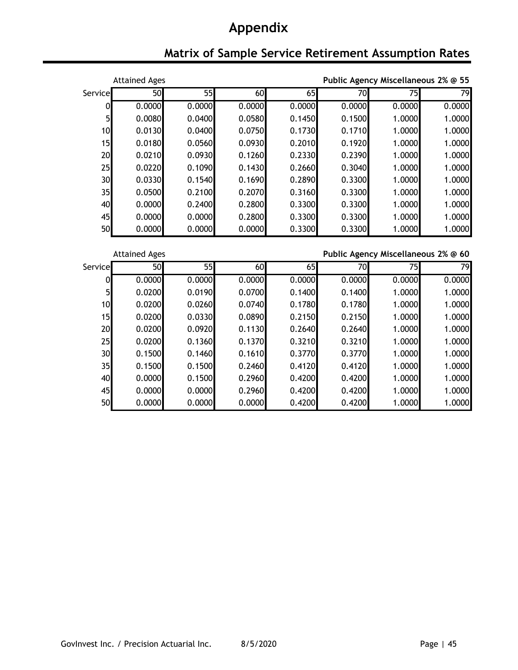# **Matrix of Sample Service Retirement Assumption Rates**

|         | <b>Attained Ages</b> |                 |        |        |        | Public Agency Miscellaneous 2% @ 55 |                 |  |  |
|---------|----------------------|-----------------|--------|--------|--------|-------------------------------------|-----------------|--|--|
| Service | 50                   | 55              | 60     | 65     | 70     | 75                                  | 79              |  |  |
| 0       | 0.0000               | 0.0000          | 0.0000 | 0.0000 | 0.0000 | 0.0000                              | 0.0000          |  |  |
| 5       | 0.0080               | 0.0400          | 0.0580 | 0.1450 | 0.1500 | 1.0000                              | 1.0000          |  |  |
| 10      | 0.0130               | 0.0400          | 0.0750 | 0.1730 | 0.1710 | 1.0000                              | 1.0000          |  |  |
| 15      | 0.0180               | 0.0560          | 0.0930 | 0.2010 | 0.1920 | 1.0000                              | 1.0000          |  |  |
| 20      | 0.0210               | 0.0930          | 0.1260 | 0.2330 | 0.2390 | 1.0000                              | 1.0000          |  |  |
| 25      | 0.0220               | 0.1090          | 0.1430 | 0.2660 | 0.3040 | 1.0000                              | 1.0000          |  |  |
| 30      | 0.0330               | 0.1540          | 0.1690 | 0.2890 | 0.3300 | 1.0000                              | 1.0000          |  |  |
| 35      | 0.0500               | 0.2100          | 0.2070 | 0.3160 | 0.3300 | 1.0000                              | 1.0000          |  |  |
| 40      | 0.0000               | 0.2400          | 0.2800 | 0.3300 | 0.3300 | 1.0000                              | 1.0000          |  |  |
| 45      | 0.0000               | 0.0000          | 0.2800 | 0.3300 | 0.3300 | 1.0000                              | 1.0000          |  |  |
| 50      | 0.0000               | 0.0000          | 0.0000 | 0.3300 | 0.3300 | 1.0000                              | 1.0000          |  |  |
|         |                      |                 |        |        |        |                                     |                 |  |  |
|         |                      |                 |        |        |        |                                     |                 |  |  |
|         | <b>Attained Ages</b> |                 |        |        |        | Public Agency Miscellaneous 2% @ 60 |                 |  |  |
| Service | 50                   | $\overline{55}$ | 60     | 65     | 70     | 75                                  | $\overline{79}$ |  |  |
| 0       | 0.0000               | 0.0000          | 0.0000 | 0.0000 | 0.0000 | 0.0000                              | 0.0000          |  |  |
| 5       | 0.0200               | 0.0190          | 0.0700 | 0.1400 | 0.1400 | 1.0000                              | 1.0000          |  |  |
| 10      | 0.0200               | 0.0260          | 0.0740 | 0.1780 | 0.1780 | 1.0000                              | 1.0000          |  |  |
| 15      | 0.0200               | 0.0330          | 0.0890 | 0.2150 | 0.2150 | 1.0000                              | 1.0000          |  |  |
| 20      | 0.0200               | 0.0920          | 0.1130 | 0.2640 | 0.2640 | 1.0000                              | 1.0000          |  |  |
| 25      | 0.0200               | 0.1360          | 0.1370 | 0.3210 | 0.3210 | 1.0000                              | 1.0000          |  |  |
| 30      | 0.1500               | 0.1460          | 0.1610 | 0.3770 | 0.3770 | 1.0000                              | 1.0000          |  |  |
| 35      | 0.1500               | 0.1500          | 0.2460 | 0.4120 | 0.4120 | 1.0000                              | 1.0000          |  |  |
| 40      | 0.0000               | 0.1500          | 0.2960 | 0.4200 | 0.4200 | 1.0000                              | 1.0000          |  |  |
| 45      | 0.0000               | 0.0000          | 0.2960 | 0.4200 | 0.4200 | 1.0000                              | 1.0000          |  |  |